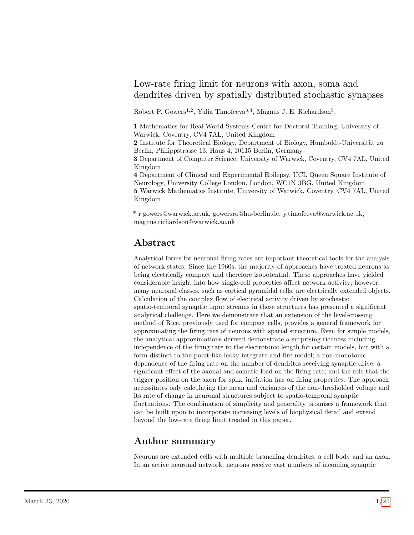## <span id="page-0-0"></span>Low-rate firing limit for neurons with axon, soma and dendrites driven by spatially distributed stochastic synapses

Robert P. Gowers<sup>1,2</sup>, Yulia Timofeeva<sup>3,4</sup>, Magnus J. E. Richardson<sup>5</sup>,

1 Mathematics for Real-World Systems Centre for Doctoral Training, University of Warwick, Coventry, CV4 7AL, United Kingdom

2 Institute for Theoretical Biology, Department of Biology, Humboldt-Universität zu Berlin, Philippstrasse 13, Haus 4, 10115 Berlin, Germany

3 Department of Computer Science, University of Warwick, Coventry, CV4 7AL, United Kingdom

4 Department of Clinical and Experimental Epilepsy, UCL Queen Square Institute of Neurology, University College London, London, WC1N 3BG, United Kingdom 5 Warwick Mathematics Institute, University of Warwick, Coventry, CV4 7AL, United Kingdom

\* r.gowers@warwick.ac.uk, gowersro@hu-berlin.de, y.timofeeva@warwick.ac.uk, magnus.richardson@warwick.ac.uk

# Abstract

Analytical forms for neuronal firing rates are important theoretical tools for the analysis of network states. Since the 1960s, the majority of approaches have treated neurons as being electrically compact and therefore isopotential. These approaches have yielded considerable insight into how single-cell properties affect network activity; however, many neuronal classes, such as cortical pyramidal cells, are electrically extended objects. Calculation of the complex flow of electrical activity driven by stochastic spatio-temporal synaptic input streams in these structures has presented a significant analytical challenge. Here we demonstrate that an extension of the level-crossing method of Rice, previously used for compact cells, provides a general framework for approximating the firing rate of neurons with spatial structure. Even for simple models, the analytical approximations derived demonstrate a surprising richness including: independence of the firing rate to the electrotonic length for certain models, but with a form distinct to the point-like leaky integrate-and-fire model; a non-monotonic dependence of the firing rate on the number of dendrites receiving synaptic drive; a significant effect of the axonal and somatic load on the firing rate; and the role that the trigger position on the axon for spike initiation has on firing properties. The approach necessitates only calculating the mean and variances of the non-thresholded voltage and its rate of change in neuronal structures subject to spatio-temporal synaptic fluctuations. The combination of simplicity and generality promises a framework that can be built upon to incorporate increasing levels of biophysical detail and extend beyond the low-rate firing limit treated in this paper.

## Author summary

Neurons are extended cells with multiple branching dendrites, a cell body and an axon. In an active neuronal network, neurons receive vast numbers of incoming synaptic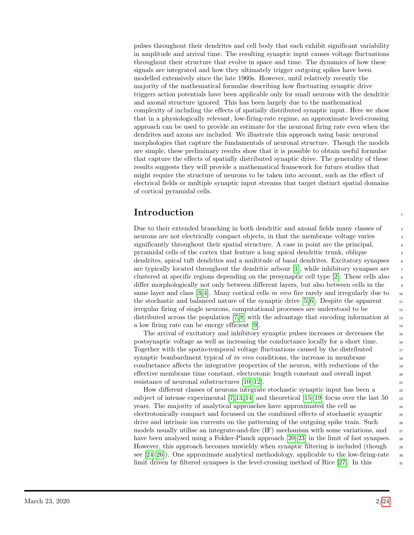pulses throughout their dendrites and cell body that each exhibit significant variability in amplitude and arrival time. The resulting synaptic input causes voltage fluctuations throughout their structure that evolve in space and time. The dynamics of how these signals are integrated and how they ultimately trigger outgoing spikes have been modelled extensively since the late 1960s. However, until relatively recently the majority of the mathematical formulae describing how fluctuating synaptic drive triggers action potentials have been applicable only for small neurons with the dendritic and axonal structure ignored. This has been largely due to the mathematical complexity of including the effects of spatially distributed synaptic input. Here we show that in a physiologically relevant, low-firing-rate regime, an approximate level-crossing approach can be used to provide an estimate for the neuronal firing rate even when the dendrites and axons are included. We illustrate this approach using basic neuronal morphologies that capture the fundamentals of neuronal structure. Though the models are simple, these preliminary results show that it is possible to obtain useful formulae that capture the effects of spatially distributed synaptic drive. The generality of these results suggests they will provide a mathematical framework for future studies that might require the structure of neurons to be taken into account, such as the effect of electrical fields or multiple synaptic input streams that target distinct spatial domains of cortical pyramidal cells.

# **Introduction**

Due to their extended branching in both dendritic and axonal fields many classes of 2 neurons are not electrically compact objects, in that the membrane voltage varies significantly throughout their spatial structure. A case in point are the principal, <sup>4</sup> pyramidal cells of the cortex that feature a long apical dendritic trunk, oblique <sup>5</sup> dendrites, apical tuft dendrites and a multitude of basal dendrites. Excitatory synapses are typically located throughout the dendritic arbour [\[1\]](#page-17-0), while inhibitory synapses are <sup>7</sup> clustered at specific regions depending on the presynaptic cell type [\[2\]](#page-17-1). These cells also differ morphologically not only between different layers, but also between cells in the <sup>9</sup> same layer and class  $[3, 4]$  $[3, 4]$ . Many cortical cells in vivo fire rarely and irregularly due to  $\infty$ the stochastic and balanced nature of the synaptic drive  $[5, 6]$  $[5, 6]$ . Despite the apparent  $\cdots$ irregular firing of single neurons, computational processes are understood to be <sup>12</sup> distributed across the population  $[7, 8]$  $[7, 8]$  with the advantage that encoding information at  $\overline{13}$ a low firing rate can be energy efficient [\[9\]](#page-18-5).

The arrival of excitatory and inhibitory synaptic pulses increases or decreases the <sup>15</sup> postsynaptic voltage as well as increasing the conductance locally for a short time. <sup>16</sup> Together with the spatio-temporal voltage fluctuations caused by the distributed 17 synaptic bombardment typical of in vivo conditions, the increase in membrane  $\frac{18}{18}$ conductance affects the integrative properties of the neuron, with reductions of the <sup>19</sup> effective membrane time constant, electrotonic length constant and overall input 20 resistance of neuronal substructures [\[10](#page-18-6)[–12\]](#page-18-7).

How different classes of neurons integrate stochastic synaptic input has been a <sup>22</sup> subject of intense experimental  $[7, 13, 14]$  $[7, 13, 14]$  $[7, 13, 14]$  and theoretical  $[15-19]$  $[15-19]$  focus over the last  $50$   $_{23}$ years. The majority of analytical approaches have approximated the cell as <sup>24</sup> electrotonically compact and focussed on the combined effects of stochastic synaptic  $\frac{25}{25}$ drive and intrinsic ion currents on the patterning of the outgoing spike train. Such  $_{26}$ models usually utilise an integrate-and-fire (IF) mechanism with some variations, and  $\frac{27}{27}$ have been analysed using a Fokker-Planck approach [\[20](#page-19-1)[–23\]](#page-19-2) in the limit of fast synapses. 28 However, this approach becomes unwieldy when synaptic filtering is included (though  $_{29}$ see  $[24-26]$  $[24-26]$ ). One approximate analytical methodology, applicable to the low-firing-rate  $\frac{30}{2}$ limit driven by filtered synapses is the level-crossing method of Rice  $[27]$ . In this  $\frac{31}{21}$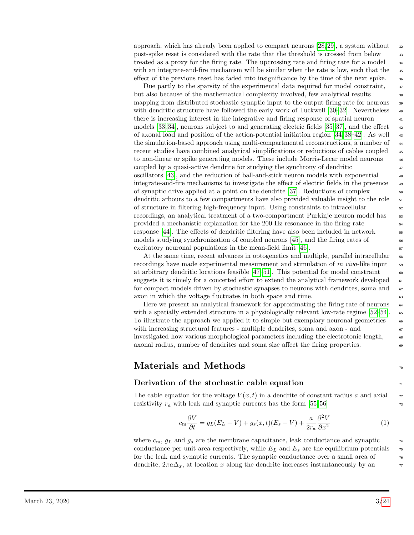approach, which has already been applied to compact neurons  $[28, 29]$  $[28, 29]$ , a system without  $\frac{32}{2}$ post-spike reset is considered with the rate that the threshold is crossed from below 33 treated as a proxy for the firing rate. The upcrossing rate and firing rate for a model  $\frac{34}{4}$ with an integrate-and-fire mechanism will be similar when the rate is low, such that the <sup>35</sup> effect of the previous reset has faded into insignificance by the time of the next spike.  $\frac{36}{100}$ 

Due partly to the sparsity of the experimental data required for model constraint,  $\frac{37}{20}$ but also because of the mathematical complexity involved, few analytical results  $\frac{38}{100}$ mapping from distributed stochastic synaptic input to the output firing rate for neurons <sup>39</sup> with dendritic structure have followed the early work of Tuckwell  $[30-32]$  $[30-32]$ . Nevertheless  $\frac{40}{20}$ there is increasing interest in the integrative and firing response of spatial neuron models [\[33,](#page-20-0) [34\]](#page-20-1), neurons subject to and generating electric fields [\[35–](#page-20-2)[37\]](#page-20-3), and the effect  $\frac{42}{42}$ of axonal load and position of the action-potential initiation region  $[34, 38-42]$  $[34, 38-42]$  $[34, 38-42]$ . As well  $\overline{43}$ the simulation-based approach using multi-compartmental reconstructions, a number of  $\frac{44}{4}$ recent studies have combined analytical simplifications or reductions of cables coupled  $\frac{45}{45}$ to non-linear or spike generating models. These include Morris-Lecar model neurons <sup>46</sup> coupled by a quasi-active dendrite for studying the synchrony of dendritic  $\frac{47}{47}$ oscillators [\[43\]](#page-20-6), and the reduction of ball-and-stick neuron models with exponential <sup>48</sup> integrate-and-fire mechanisms to investigate the effect of electric fields in the presence <sup>49</sup> of synaptic drive applied at a point on the dendrite  $[37]$ . Reductions of complex  $\sim$ dendritic arbours to a few compartments have also provided valuable insight to the role <sup>51</sup> of structure in filtering high-frequency input. Using constraints to intracellular <sup>52</sup> recordings, an analytical treatment of a two-compartment Purkinje neuron model has  $\frac{53}{100}$ provided a mechanistic explanation for the 200 Hz resonance in the firing rate  $\frac{54}{54}$ response [\[44\]](#page-20-7). The effects of dendritic filtering have also been included in network <sup>55</sup> models studying synchronization of coupled neurons  $[45]$ , and the firing rates of  $\frac{56}{56}$ excitatory neuronal populations in the mean-field limit  $[46]$ .

At the same time, recent advances in optogenetics and multiple, parallel intracellular 58 recordings have made experimental measurement and stimulation of in vivo-like input  $\frac{1}{59}$ at arbitrary dendritic locations feasible  $[47-51]$  $[47-51]$ . This potential for model constraint  $\qquad \qquad \text{60}$ suggests it is timely for a concerted effort to extend the analytical framework developed  $61$ for compact models driven by stochastic synapses to neurons with dendrites, soma and  $\epsilon$ axon in which the voltage fluctuates in both space and time.

Here we present an analytical framework for approximating the firing rate of neurons 64 with a spatially extended structure in a physiologically relevant low-rate regime  $[52–54]$  $[52–54]$ .  $\epsilon$ To illustrate the approach we applied it to simple but exemplary neuronal geometries 66 with increasing structural features - multiple dendrites, soma and axon - and 67 investigated how various morphological parameters including the electrotonic length,  $\frac{68}{1000}$ axonal radius, number of dendrites and soma size affect the firing properties. <sup>69</sup>

## Materials and Methods <sup>70</sup>

### Derivation of the stochastic cable equation  $\frac{1}{71}$

The cable equation for the voltage  $V(x, t)$  in a dendrite of constant radius a and axial  $\tau$ resistivity  $r_a$  with leak and synaptic currents has the form [\[55,](#page-21-3) [56\]](#page-21-4)  $\frac{r_a}{r_a}$ 

$$
c_{\rm m} \frac{\partial V}{\partial t} = g_L (E_L - V) + g_s (x, t) (E_s - V) + \frac{a}{2r_a} \frac{\partial^2 V}{\partial x^2}
$$
(1)

where  $c_m$ ,  $g_L$  and  $g_s$  are the membrane capacitance, leak conductance and synaptic  $\frac{74}{14}$ conductance per unit area respectively, while  $E_L$  and  $E_s$  are the equilibrium potentials  $\tau$ for the leak and synaptic currents. The synaptic conductance over a small area of  $\frac{76}{76}$ dendrite,  $2\pi a\Delta_x$ , at location x along the dendrite increases instantaneously by an  $\pi$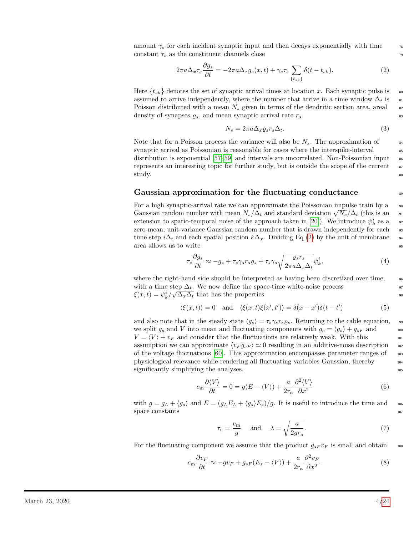amount  $\gamma_s$  for each incident synaptic input and then decays exponentially with time  $\gamma_s$  $\text{constant } \tau_s$  as the constituent channels close

<span id="page-3-0"></span>
$$
2\pi a \Delta_x \tau_s \frac{\partial g_s}{\partial t} = -2\pi a \Delta_x g_s(x, t) + \gamma_s \tau_s \sum_{\{t_{sk}\}} \delta(t - t_{sk}). \tag{2}
$$

Here  $\{t_{sk}\}\$  denotes the set of synaptic arrival times at location x. Each synaptic pulse is  $\bullet$ assumed to arrive independently, where the number that arrive in a time window  $\Delta_t$  is  $\mathbf{s}_1$ Poisson distributed with a mean  $N_s$  given in terms of the dendritic section area, areal  $\approx$ density of synapses  $\varrho_s$ , and mean synaptic arrival rate  $r_s$  83

$$
N_s = 2\pi a \Delta_x \varrho_s r_s \Delta_t. \tag{3}
$$

Note that for a Poisson process the variance will also be  $N_s$ . The approximation of  $\frac{84}{100}$ synaptic arrival as Poissonian is reasonable for cases where the interspike-interval  $\frac{1}{85}$ distribution is exponential  $[57-59]$  $[57-59]$  and intervals are uncorrelated. Non-Poissonian input  $\frac{1}{86}$ represents an interesting topic for further study, but is outside the scope of the current  $\frac{1}{87}$  $\mathop{\rm study.}\nolimits$ 

#### Gaussian approximation for the fluctuating conductance  $\mathbb{R}^3$

For a high synaptic-arrival rate we can approximate the Poissonian impulse train by a  $\frac{90}{2}$ For a mgn synaptic-arrival rate we can approximate the Folssonian impulse train by a  $\sigma_{\text{gas}}$  Gaussian random number with mean  $N_s/\Delta_t$  and standard deviation  $\sqrt{N_s}/\Delta_t$  (this is an  $\sigma_{\text{gas}}$ ) extension to spatio-temporal noise of the approach taken in [\[20\]](#page-19-1)). We introduce  $\psi_k^i$  as a set zero-mean, unit-variance Gaussian random number that is drawn independently for each <sup>93</sup> time step i $\Delta_t$  and each spatial position  $k\Delta_x$ . Dividing Eq [\(2\)](#page-3-0) by the unit of membrane 94 area allows us to write  $\frac{95}{2}$ 

$$
\tau_s \frac{\partial g_s}{\partial t} \approx -g_s + \tau_s \gamma_s r_s \varrho_s + \tau_s \gamma_s \sqrt{\frac{\varrho_s r_s}{2\pi a \Delta_x \Delta_t}} \psi_k^i,\tag{4}
$$

where the right-hand side should be interpreted as having been discretized over time,  $\frac{96}{100}$ with a time step  $\Delta_t$ . We now define the space-time white-noise process 97  $\xi(x,t) = \psi_k^i / \sqrt{\Delta_x \Delta_t}$  that has the properties <sup>98</sup>

$$
\langle \xi(x,t) \rangle = 0 \quad \text{and} \quad \langle \xi(x,t)\xi(x',t') \rangle = \delta(x-x')\delta(t-t')
$$
 (5)

and also note that in the steady state  $\langle g_s \rangle = \tau_s \gamma_s r_s \varrho_s$ . Returning to the cable equation, 99 we split  $g_s$  and V into mean and fluctuating components with  $g_s = \langle g_s \rangle + g_{sF}$  and 100  $V = \langle V \rangle + v_F$  and consider that the fluctuations are relatively weak. With this 101 assumption we can approximate  $\langle v_F g_{sF} \rangle \simeq 0$  resulting in an additive-noise description  $102$ of the voltage fluctuations  $[60]$ . This approximation encompasses parameter ranges of  $103$ physiological relevance while rendering all fluctuating variables Gaussian, thereby <sup>104</sup> significantly simplifying the analyses.  $105$ 

<span id="page-3-1"></span>
$$
c_{\rm m} \frac{\partial \langle V \rangle}{\partial t} = 0 = g(E - \langle V \rangle) + \frac{a}{2r_{\rm a}} \frac{\partial^2 \langle V \rangle}{\partial x^2}
$$
 (6)

with  $g = g_L + \langle g_s \rangle$  and  $E = (g_L E_L + \langle g_s \rangle E_s)/g$ . It is useful to introduce the time and 106  $\frac{107}{107}$  space constants  $\frac{107}{107}$ 

<span id="page-3-3"></span>
$$
\tau_v = \frac{c_m}{g} \quad \text{and} \quad \lambda = \sqrt{\frac{a}{2gr_a}}.\tag{7}
$$

For the fluctuating component we assume that the product  $g_{sF}v_F$  is small and obtain  $_{108}$ 

<span id="page-3-2"></span>
$$
c_{\rm m} \frac{\partial v_F}{\partial t} \approx -gv_F + g_{sF}(E_s - \langle V \rangle) + \frac{a}{2r_{\rm a}} \frac{\partial^2 v_F}{\partial x^2}.
$$
 (8)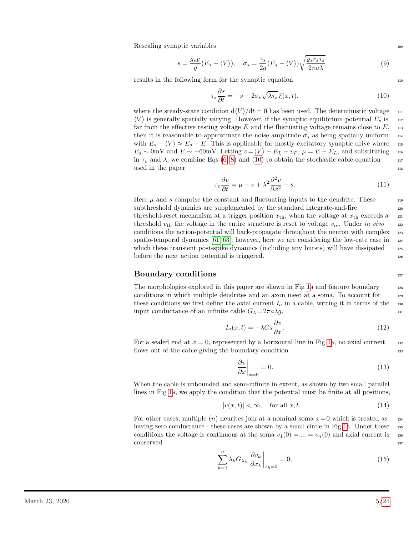$Rescaling$  synaptic variables  $109$ 

$$
s = \frac{g_{sF}}{g}(E_s - \langle V \rangle), \quad \sigma_s = \frac{\gamma_s}{2g}(E_s - \langle V \rangle) \sqrt{\frac{\varrho_s r_s \tau_s}{2\pi a\lambda}} \tag{9}
$$

results in the following form for the synaptic equation 110

<span id="page-4-0"></span>
$$
\tau_s \frac{\partial s}{\partial t} = -s + 2\sigma_s \sqrt{\lambda \tau_s} \xi(x, t). \tag{10}
$$

where the steady-state condition  $d\langle V \rangle/dt = 0$  has been used. The deterministic voltage  $\mu$  $\langle V \rangle$  is generally spatially varying. However, if the synaptic equilibrium potential  $E_s$  is 112 far from the effective resting voltage E and the fluctuating voltage remains close to  $E$ , 113 then it is reasonable to approximate the noise amplitude  $\sigma_s$  as being spatially uniform  $_{114}$ with  $E_s - \langle V \rangle \approx E_s - E$ . This is applicable for mostly excitatory synaptic drive where 115  $E_s \sim 0$ mV and  $E \sim -60$ mV. Letting  $v = \langle V \rangle - E_L + v_F$ ,  $\mu = E - E_L$ , and substituting 116 in  $\tau_v$  and  $\lambda$ , we combine Eqs [\(6,](#page-3-1) [8\)](#page-3-2) and [\(10\)](#page-4-0) to obtain the stochastic cable equation 117  $used$  in the paper  $118$ 

$$
\tau_v \frac{\partial v}{\partial t} = \mu - v + \lambda^2 \frac{\partial^2 v}{\partial x^2} + s. \tag{11}
$$

Here  $\mu$  and s comprise the constant and fluctuating inputs to the dendrite. These  $\mu$ subthreshold dynamics are supplemented by the standard integrate-and-fire 120 threshold-reset mechanism at a trigger position  $x_{\text{th}}$ ; when the voltage at  $x_{\text{th}}$  exceeds a 121 threshold  $v_{\text{th}}$  the voltage in the entire structure is reset to voltage  $v_{\text{re}}$ . Under in vivo 122 conditions the action-potential will back-propagate throughout the neuron with complex 123 spatio-temporal dynamics  $[61–63]$  $[61–63]$ ; however, here we are considering the low-rate case in  $_{124}$ which these transient post-spike dynamics (including any bursts) will have dissipated 125 before the next action potential is triggered.

#### Boundary conditions and the set of the set of the set of the set of the set of the set of the set of the set of the set of the set of the set of the set of the set of the set of the set of the set of the set of the set of

The morphologies explored in this paper are shown in Fig [1a](#page-5-0) and feature boundary 128 conditions in which multiple dendrites and an axon meet at a soma. To account for 129 these conditions we first define the axial current  $I_a$  in a cable, writing it in terms of the 130 input conductance of an infinite cable  $G_{\lambda} = 2\pi a \lambda g$ , 131

$$
I_a(x,t) = -\lambda G_\lambda \frac{\partial v}{\partial x}.\tag{12}
$$

For a sealed end at  $x = 0$ , represented by a horizontal line in Fig [1a](#page-5-0), no axial current 132 flows out of the cable giving the boundary condition 133

<span id="page-4-1"></span>
$$
\left. \frac{\partial v}{\partial x} \right|_{x=0} = 0. \tag{13}
$$

When the cable is unbounded and semi-infinite in extent, as shown by two small parallel lines in Fig [1a](#page-5-0), we apply the condition that the potential must be finite at all positions,

$$
|v(x,t)| < \infty, \quad \text{for all } x, t. \tag{14}
$$

For other cases, multiple  $(n)$  neurites join at a nominal soma  $x=0$  which is treated as 134 having zero conductance - these cases are shown by a small circle in Fig [1a](#page-5-0). Under these 135 conditions the voltage is continuous at the soma  $v_1(0) = ... = v_n(0)$  and axial current is 136  $\sim$  conserved  $\sim$  137

<span id="page-4-2"></span>
$$
\sum_{k=1}^{n} \lambda_k G_{\lambda_k} \left. \frac{\partial v_k}{\partial x_k} \right|_{x_k=0} = 0, \tag{15}
$$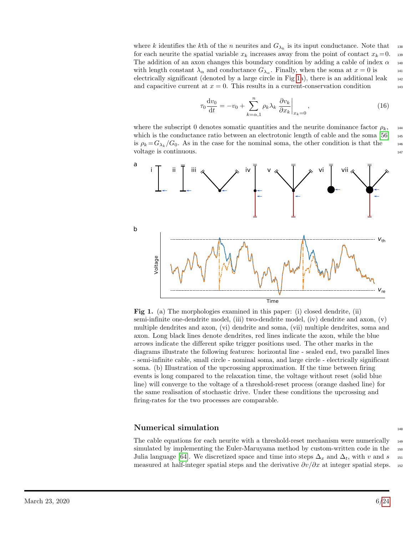where k identifies the k<sup>th</sup> of the n neurites and  $G_{\lambda_k}$  is its input conductance. Note that 138 for each neurite the spatial variable  $x_k$  increases away from the point of contact  $x_k = 0$ . The addition of an axon changes this boundary condition by adding a cable of index  $\alpha$  140 with length constant  $\lambda_{\alpha}$  and conductance  $G_{\lambda_{\alpha}}$ . Finally, when the soma at  $x = 0$  is 141 electrically significant (denoted by a large circle in Fig [1a](#page-5-0)), there is an additional leak  $_{142}$ and capacitive current at  $x = 0$ . This results in a current-conservation condition  $143$ 

<span id="page-5-1"></span>
$$
\tau_0 \frac{\mathrm{d}v_0}{\mathrm{d}t} = -v_0 + \sum_{k=\alpha,1}^n \rho_k \lambda_k \left. \frac{\partial v_k}{\partial x_k} \right|_{x_k=0},\tag{16}
$$

where the subscript 0 denotes somatic quantities and the neurite dominance factor  $\rho_k$ , 144 which is the conductance ratio between an electrotonic length of cable and the soma  $[56]$  145 is  $\rho_k = G_{\lambda_k}/G_0$ . As in the case for the nominal soma, the other condition is that the 146 voltage is continuous.

<span id="page-5-0"></span>

Fig 1. (a) The morphologies examined in this paper: (i) closed dendrite, (ii) semi-infinite one-dendrite model, (iii) two-dendrite model, (iv) dendrite and axon, (v) multiple dendrites and axon, (vi) dendrite and soma, (vii) multiple dendrites, soma and axon. Long black lines denote dendrites, red lines indicate the axon, while the blue arrows indicate the different spike trigger positions used. The other marks in the diagrams illustrate the following features: horizontal line - sealed end, two parallel lines - semi-infinite cable, small circle - nominal soma, and large circle - electrically significant soma. (b) Illustration of the upcrossing approximation. If the time between firing events is long compared to the relaxation time, the voltage without reset (solid blue line) will converge to the voltage of a threshold-reset process (orange dashed line) for the same realisation of stochastic drive. Under these conditions the upcrossing and firing-rates for the two processes are comparable.

### Numerical simulation and the state of  $\frac{148}{148}$

The cable equations for each neurite with a threshold-reset mechanism were numerically <sup>149</sup> simulated by implementing the Euler-Maruyama method by custom-written code in the 150 Julia language [\[64\]](#page-22-0). We discretized space and time into steps  $\Delta_x$  and  $\Delta_t$ , with v and s 151 measured at half-integer spatial steps and the derivative  $\partial v/\partial x$  at integer spatial steps. 152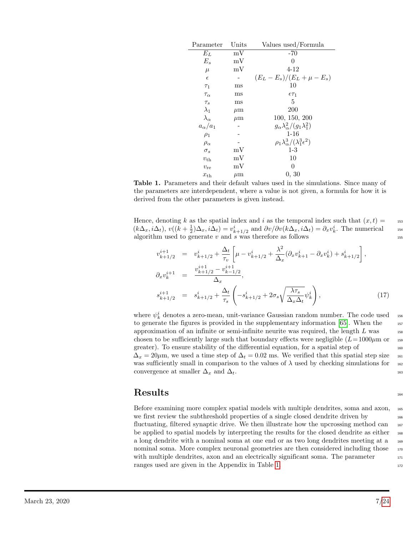<span id="page-6-0"></span>

| Parameter          | Units       | Values used/Formula                                |
|--------------------|-------------|----------------------------------------------------|
| $E_L$              | mV          | -70                                                |
| $E_s$              | mV          | 0                                                  |
| $\mu$              | mV          | 4-12                                               |
| $\epsilon$         |             | $(E_L - E_s)/(E_L + \mu - E_s)$                    |
| $\tau_1$           | $_{\rm ms}$ | 10                                                 |
| $\tau_\alpha$      | $_{\rm ms}$ | $\epsilon \tau_1$                                  |
| $\tau_s$           | $_{\rm ms}$ | 5                                                  |
| $\lambda_1$        | $\mu$ m     | 200                                                |
| $\lambda_{\alpha}$ | $\mu$ m     | 100, 150, 200                                      |
| $a_{\alpha}/a_1$   |             | $g_{\alpha} \lambda_{\alpha}^2/(g_1 \lambda_1^2)$  |
| $\rho_1$           |             | $1 - 16$                                           |
| $\rho_{\alpha}$    |             | $\rho_1 \lambda_\alpha^3/(\lambda_1^3 \epsilon^2)$ |
| $\sigma_s$         | mV          | $1-3$                                              |
| $v_{\text{th}}$    | mV          | 10                                                 |
| $v_{\rm re}$       | mV          | 0                                                  |
| $x_{\text{th}}$    | $\mu$ m     | 0, 30                                              |

Table 1. Parameters and their default values used in the simulations. Since many of the parameters are interdependent, where a value is not given, a formula for how it is derived from the other parameters is given instead.

Hence, denoting k as the spatial index and i as the temporal index such that  $(x, t) =$  153  $(k\Delta_x, i\Delta_t), v((k+\frac{1}{2})\Delta_x, i\Delta_t) = v_{k+1/2}^i$  and  $\partial v/\partial v(k\Delta_x, i\Delta_t) = \partial_x v_k^i$ . The numerical 154 algorithm used to generate  $v$  and  $s$  was therefore as follows 155

$$
v_{k+1/2}^{i+1} = v_{k+1/2}^i + \frac{\Delta_t}{\tau_v} \left[ \mu - v_{k+1/2}^i + \frac{\lambda^2}{\Delta_x} (\partial_x v_{k+1}^i - \partial_x v_k^i) + s_{k+1/2}^i \right],
$$
  
\n
$$
\partial_x v_k^{i+1} = \frac{v_{k+1/2}^{i+1} - v_{k-1/2}^{i+1}}{\Delta_x},
$$
  
\n
$$
s_{k+1/2}^{i+1} = s_{k+1/2}^i + \frac{\Delta_t}{\tau_s} \left( -s_{k+1/2}^i + 2\sigma_s \sqrt{\frac{\lambda \tau_s}{\Delta_x \Delta_t}} \psi_k^i \right),
$$
\n(17)

where  $\psi_k^i$  denotes a zero-mean, unit-variance Gaussian random number. The code used 156 to generate the figures is provided in the supplementary information [\[65\]](#page-22-1). When the 157 approximation of an infinite or semi-infinite neurite was required, the length  $L$  was chosen to be sufficiently large such that boundary effects were negligible  $(L= 1000 \mu m)$  or greater). To ensure stability of the differential equation, for a spatial step of  $_{160}$  $\Delta_x = 20 \mu$ m, we used a time step of  $\Delta_t = 0.02$  ms. We verified that this spatial step size 161 was sufficiently small in comparison to the values of  $\lambda$  used by checking simulations for  $_{162}$ convergence at smaller  $\Delta_x$  and  $\Delta_t$ . 163

### $\text{Results}$

Before examining more complex spatial models with multiple dendrites, soma and axon, <sup>165</sup> we first review the subthreshold properties of a single closed dendrite driven by 166 fluctuating, filtered synaptic drive. We then illustrate how the upcrossing method can  $_{167}$ be applied to spatial models by interpreting the results for the closed dendrite as either  $_{168}$ a long dendrite with a nominal soma at one end or as two long dendrites meeting at a <sup>169</sup> nominal soma. More complex neuronal geometries are then considered including those  $\frac{170}{170}$ with multiple dendrites, axon and an electrically significant soma. The parameter  $171$ ranges used are given in the Appendix in Table [1.](#page-6-0) 172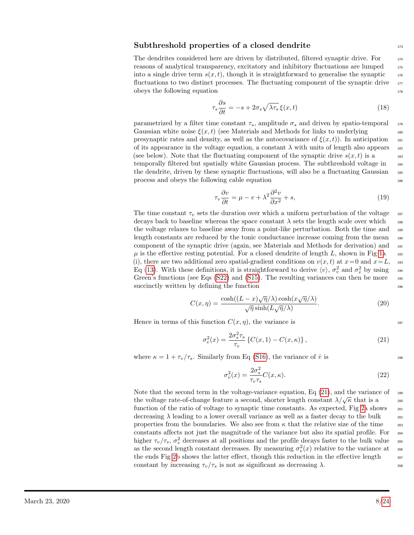### $Subthreshold$  properties of a closed dendrite  $1/3$

The dendrites considered here are driven by distributed, filtered synaptic drive. For  $_{174}$ reasons of analytical transparency, excitatory and inhibitory fluctuations are lumped  $_{175}$ into a single drive term  $s(x, t)$ , though it is straightforward to generalise the synaptic  $176$ fluctuations to two distinct processes. The fluctuating component of the synaptic drive  $\frac{177}{200}$ obeys the following equation 178

<span id="page-7-2"></span>
$$
\tau_s \frac{\partial s}{\partial t} = -s + 2\sigma_s \sqrt{\lambda \tau_s} \xi(x, t)
$$
\n(18)

parametrized by a filter time constant  $\tau_s$ , amplitude  $\sigma_s$  and driven by spatio-temporal  $\tau_s$ Gaussian white noise  $\xi(x, t)$  (see Materials and Methods for links to underlying 180 presynaptic rates and density, as well as the autocovariance of  $\xi(x, t)$ ). In anticipation 181 of its appearance in the voltage equation, a constant  $\lambda$  with units of length also appears 182 (see below). Note that the fluctuating component of the synaptic drive  $s(x, t)$  is a 183 temporally filtered but spatially white Gaussian process. The subthreshold voltage in 184 the dendrite, driven by these synaptic fluctuations, will also be a fluctuating Gaussian  $_{185}$ process and obeys the following cable equation 186

<span id="page-7-3"></span>
$$
\tau_v \frac{\partial v}{\partial t} = \mu - v + \lambda^2 \frac{\partial^2 v}{\partial x^2} + s,\tag{19}
$$

The time constant  $\tau_v$  sets the duration over which a uniform perturbation of the voltage 187 decays back to baseline whereas the space constant  $\lambda$  sets the length scale over which 188 the voltage relaxes to baseline away from a point-like perturbation. Both the time and 189 length constants are reduced by the tonic conductance increase coming from the mean 190 component of the synaptic drive (again, see Materials and Methods for derivation) and <sup>191</sup>  $\mu$  is the effective resting potential. For a closed dendrite of length L, shown in Fig [1a](#page-5-0) 192 (i), there are two additional zero spatial-gradient conditions on  $v(x, t)$  at  $x=0$  and  $x=L$ , 193 Eq [\(13\)](#page-4-1). With these definitions, it is straightforward to derive  $\langle v \rangle$ ,  $\sigma_v^2$  and  $\sigma_v^2$  by using 194 Green's functions (see Eqs  $(S22)$  and  $(S15)$ . The resulting variances can then be more 195  $\text{succinctly written by defining the function}$ 

$$
C(x,\eta) = \frac{\cosh((L-x)\sqrt{\eta}/\lambda)\cosh(x\sqrt{\eta}/\lambda)}{\sqrt{\eta}\sinh(L\sqrt{\eta}/\lambda)}.
$$
 (20)

Hence in terms of this function  $C(x, \eta)$ , the variance is 197

<span id="page-7-1"></span>
$$
\sigma_v^2(x) = \frac{2\sigma_s^2 \tau_s}{\tau_v} \left\{ C(x,1) - C(x,\kappa) \right\},\tag{21}
$$

where  $\kappa = 1 + \tau_v/\tau_s$ . Similarly from Eq [\(S16\)](#page-5-1), the variance of  $\dot{v}$  is

<span id="page-7-0"></span>
$$
\sigma_v^2(x) = \frac{2\sigma_s^2}{\tau_v \tau_s} C(x,\kappa). \tag{22}
$$

Note that the second term in the voltage-variance equation, Eq  $(21)$ , and the variance of 199 the voltage rate-of-change feature a second, shorter length constant  $\lambda/\sqrt{\kappa}$  that is a 200 200 function of the ratio of voltage to synaptic time constants. As expected, Fig [2a](#page-8-0) shows  $_{201}$ decreasing  $\lambda$  leading to a lower overall variance as well as a faster decay to the bulk  $\qquad 202$ properties from the boundaries. We also see from  $\kappa$  that the relative size of the time  $\qquad$ <sub>203</sub> constants affects not just the magnitude of the variance but also its spatial profile. For <sup>204</sup> higher  $\tau_v/\tau_s$ ,  $\sigma_v^2$  decreases at all positions and the profile decays faster to the bulk value 205 as the second length constant decreases. By measuring  $\sigma_v^2(x)$  relative to the variance at 206 the ends Fig [2b](#page-8-0) shows the latter effect, though this reduction in the effective length  $207$ constant by increasing  $\tau_v/\tau_s$  is not as significant as decreasing  $\lambda$ .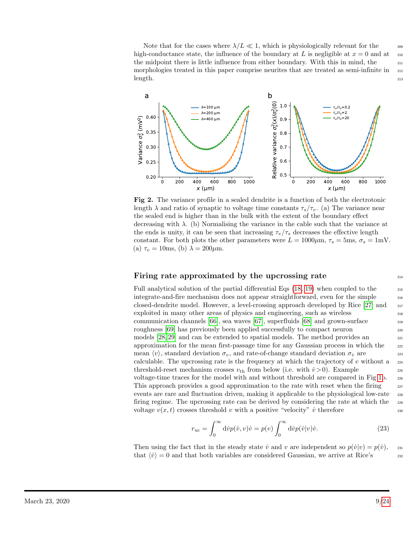Note that for the cases where  $\lambda/L \ll 1$ , which is physiologically relevant for the 209 high-conductance state, the influence of the boundary at L is negligible at  $x = 0$  and at 210 the midpoint there is little influence from either boundary. With this in mind, the 211 morphologies treated in this paper comprise neurites that are treated as semi-infinite in  $_{212}$ length. 213 and 213 and 213 and 213 and 213 and 213 and 213 and 213 and 213 and 213 and 213 and 213 and 213 and

<span id="page-8-0"></span>

Fig 2. The variance profile in a sealed dendrite is a function of both the electrotonic length  $\lambda$  and ratio of synaptic to voltage time constants  $\tau_s/\tau_v$ . (a) The variance near the sealed end is higher than in the bulk with the extent of the boundary effect decreasing with  $\lambda$ . (b) Normalising the variance in the cable such that the variance at the ends is unity, it can be seen that increasing  $\tau_v/\tau_s$  decreases the effective length constant. For both plots the other parameters were  $L = 1000 \mu \text{m}$ ,  $\tau_s = 5 \text{ms}$ ,  $\sigma_s = 1 \text{mV}$ . (a)  $\tau_v = 10$ ms, (b)  $\lambda = 200 \mu$ m.

### Firing rate approximated by the upcrossing rate  $214$

Full analytical solution of the partial differential Eqs  $(18, 19)$  $(18, 19)$  when coupled to the  $_{215}$ integrate-and-fire mechanism does not appear straightforward, even for the simple <sup>216</sup> closed-dendrite model. However, a level-crossing approach developed by Rice [\[27\]](#page-19-5) and <sup>217</sup> exploited in many other areas of physics and engineering, such as wireless <sup>218</sup> communication channels [\[66\]](#page-22-2), sea waves [\[67\]](#page-22-3), superfluids [\[68\]](#page-22-4) and grown-surface <sup>219</sup> roughness [\[69\]](#page-22-5) has previously been applied successfully to compact neuron 220 models [\[28,](#page-19-6) [29\]](#page-19-7) and can be extended to spatial models. The method provides an 221 approximation for the mean first-passage time for any Gaussian process in which the <sup>222</sup> mean  $\langle v \rangle$ , standard deviation  $\sigma_v$ , and rate-of-change standard deviation  $\sigma_v$  are 223 calculable. The upcrossing rate is the frequency at which the trajectory of v without a  $_{224}$ threshold-reset mechanism crosses  $v_{\text{th}}$  from below (i.e. with  $\dot{v} > 0$ ). Example voltage-time traces for the model with and without threshold are compared in Fig [1b](#page-5-0). <sup>226</sup> This approach provides a good approximation to the rate with reset when the firing 227 events are rare and fluctuation driven, making it applicable to the physiological low-rate  $\frac{228}{20}$ firing regime. The upcrossing rate can be derived by considering the rate at which the 229 voltage  $v(x, t)$  crosses threshold v with a positive "velocity" v therefore 230

$$
r_{\rm uc} = \int_0^\infty \mathrm{d}\dot{v} p(\dot{v}, v) \dot{v} = p(v) \int_0^\infty \mathrm{d}\dot{v} p(\dot{v}|v) \dot{v}.
$$
 (23)

Then using the fact that in the steady state  $\dot{v}$  and  $v$  are independent so  $p(\dot{v}|v) = p(\dot{v}),$  231 that  $\langle \dot{v} \rangle = 0$  and that both variables are considered Gaussian, we arrive at Rice's 232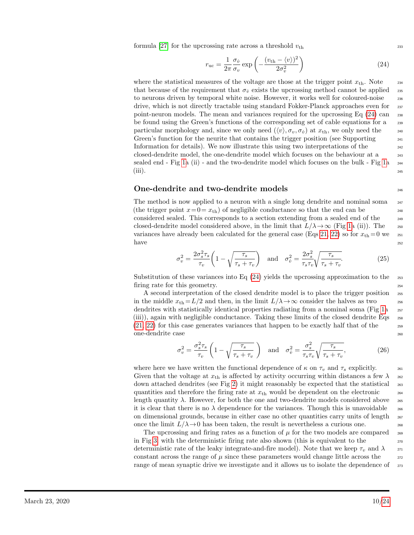formula [\[27\]](#page-19-5) for the upcrossing rate across a threshold  $v_{\text{th}}$  233

<span id="page-9-0"></span>
$$
r_{\rm uc} = \frac{1}{2\pi} \frac{\sigma_{\dot{v}}}{\sigma_{v}} \exp\left(-\frac{(v_{\rm th} - \langle v \rangle)^2}{2\sigma_{v}^2}\right)
$$
(24)

where the statistical measures of the voltage are those at the trigger point  $x_{\text{th}}$ . Note 234 that because of the requirement that  $\sigma_v$  exists the upcrossing method cannot be applied 235 to neurons driven by temporal white noise. However, it works well for coloured-noise 236 drive, which is not directly tractable using standard Fokker-Planck approaches even for <sup>237</sup> point-neuron models. The mean and variances required for the upcrossing Eq [\(24\)](#page-9-0) can <sup>238</sup> be found using the Green's functions of the corresponding set of cable equations for a <sup>239</sup> particular morphology and, since we only need  $(\langle v \rangle, \sigma_v, \sigma_v)$  at  $x_{th}$ , we only need the 240 Green's function for the neurite that contains the trigger position (see Supporting  $_{241}$ Information for details). We now illustrate this using two interpretations of the  $_{242}$ closed-dendrite model, the one-dendrite model which focuses on the behaviour at a <sup>243</sup> sealed end - Fig [1a](#page-5-0) (ii) - and the two-dendrite model which focuses on the bulk - Fig [1a](#page-5-0) <sup>244</sup>  $(iii)$ .

### One-dendrite and two-dendrite models <sup>246</sup>

The method is now applied to a neuron with a single long dendrite and nominal soma  $_{247}$ (the trigger point  $x=0=x_{th}$ ) of negligible conductance so that the end can be considered sealed. This corresponds to a section extending from a sealed end of the <sup>249</sup> closed-dendrite model considered above, in the limit that  $L/\lambda \to \infty$  (Fig [1a](#page-5-0) (ii)). The 250 variances have already been calculated for the general case (Eqs [21,](#page-7-1) [22\)](#page-7-0) so for  $x_{th} = 0$  we  $z_{51}$  $h$ ave  $252$ 

<span id="page-9-1"></span>
$$
\sigma_v^2 = \frac{2\sigma_s^2 \tau_s}{\tau_v} \left( 1 - \sqrt{\frac{\tau_s}{\tau_s + \tau_v}} \right) \quad \text{and} \quad \sigma_v^2 = \frac{2\sigma_s^2}{\tau_s \tau_v} \sqrt{\frac{\tau_s}{\tau_s + \tau_v}}.
$$
 (25)

Substitution of these variances into Eq  $(24)$  yields the upcrossing approximation to the  $\frac{253}{253}$ firing rate for this geometry.

A second interpretation of the closed dendrite model is to place the trigger position <sup>255</sup> in the middle  $x_{\text{th}} = L/2$  and then, in the limit  $L/\lambda \to \infty$  consider the halves as two 256 dendrites with statistically identical properties radiating from a nominal soma (Fig [1a](#page-5-0)  $_{257}$ (iii)), again with negligible conductance. Taking these limits of the closed dendrite Eqs <sup>258</sup>  $(21, 22)$  $(21, 22)$  for this case generates variances that happen to be exactly half that of the  $\frac{259}{259}$ one-dendrite case <sup>260</sup>

<span id="page-9-2"></span>
$$
\sigma_v^2 = \frac{\sigma_s^2 \tau_s}{\tau_v} \left( 1 - \sqrt{\frac{\tau_s}{\tau_s + \tau_v}} \right) \quad \text{and} \quad \sigma_v^2 = \frac{\sigma_s^2}{\tau_s \tau_v} \sqrt{\frac{\tau_s}{\tau_s + \tau_v}},\tag{26}
$$

where here we have written the functional dependence of  $\kappa$  on  $\tau_v$  and  $\tau_s$  explicitly. Given that the voltage at  $x_{\text{th}}$  is affected by activity occurring within distances a few  $\lambda$  262 down attached dendrites (see Fig [2\)](#page-8-0) it might reasonably be expected that the statistical <sup>263</sup> quantities and therefore the firing rate at  $x<sub>th</sub>$  would be dependent on the electronic  $264$ length quantity  $\lambda$ . However, for both the one and two-dendrite models considered above  $_{265}$ it is clear that there is no  $\lambda$  dependence for the variances. Though this is unavoidable  $_{266}$ on dimensional grounds, because in either case no other quantities carry units of length  $_{267}$ once the limit  $L/\lambda \rightarrow 0$  has been taken, the result is nevertheless a curious one.

The upcrossing and firing rates as a function of  $\mu$  for the two models are compared 269 in Fig [3,](#page-10-0) with the deterministic firing rate also shown (this is equivalent to the  $_{270}$ deterministic rate of the leaky integrate-and-fire model). Note that we keep  $\tau_v$  and  $\lambda$  271 constant across the range of  $\mu$  since these parameters would change little across the  $\eta$ range of mean synaptic drive we investigate and it allows us to isolate the dependence of  $\frac{273}{273}$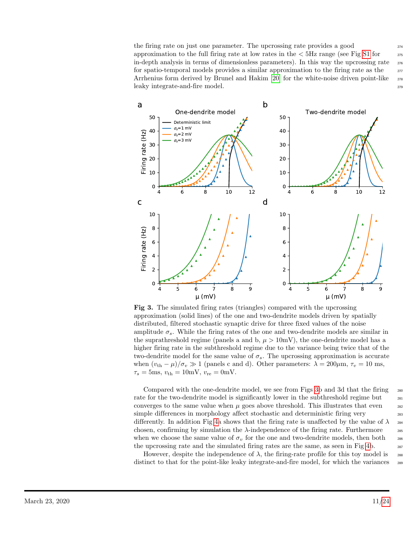the firing rate on just one parameter. The upcrossing rate provides a good  $_{274}$ approximation to the full firing rate at low rates in the  $<$  5Hz range (see Fig [S1](#page-0-0) for  $275$ in-depth analysis in terms of dimensionless parameters). In this way the upcrossing rate  $_{276}$ for spatio-temporal models provides a similar approximation to the firing rate as the  $277$ Arrhenius form derived by Brunel and Hakim [\[20\]](#page-19-1) for the white-noise driven point-like  $\frac{278}{278}$ leaky integrate-and-fire model. <sup>279</sup>

<span id="page-10-0"></span>

Fig 3. The simulated firing rates (triangles) compared with the upcrossing approximation (solid lines) of the one and two-dendrite models driven by spatially distributed, filtered stochastic synaptic drive for three fixed values of the noise amplitude  $\sigma_s$ . While the firing rates of the one and two-dendrite models are similar in the suprathreshold regime (panels a and b,  $\mu > 10$ mV), the one-dendrite model has a higher firing rate in the subthreshold regime due to the variance being twice that of the two-dendrite model for the same value of  $\sigma_s$ . The upcrossing approximation is accurate when  $(v_{\text{th}} - \mu)/\sigma_v \gg 1$  (panels c and d). Other parameters:  $\lambda = 200 \mu \text{m}, \tau_v = 10 \text{ ms}$ ,  $\tau_s = 5 \text{ms}, v_{\text{th}} = 10 \text{mV}, v_{\text{re}} = 0 \text{mV}.$ 

Compared with the one-dendrite model, we see from Figs [3b](#page-10-0) and 3d that the firing 280 rate for the two-dendrite model is significantly lower in the subthreshold regime but  $_{281}$ converges to the same value when  $\mu$  goes above threshold. This illustrates that even  $\mu$ simple differences in morphology affect stochastic and deterministic firing very 283 differently. In addition Fig [4a](#page-11-0) shows that the firing rate is unaffected by the value of  $\lambda_{284}$ chosen, confirming by simulation the  $\lambda$ -independence of the firing rate. Furthermore 285 when we choose the same value of  $\sigma_v$  for the one and two-dendrite models, then both  $\sigma_{\text{286}}$ the upcrossing rate and the simulated firing rates are the same, as seen in Fig [4b](#page-11-0). 287

However, despite the independence of  $\lambda$ , the firing-rate profile for this toy model is 288 distinct to that for the point-like leaky integrate-and-fire model, for which the variances  $_{289}$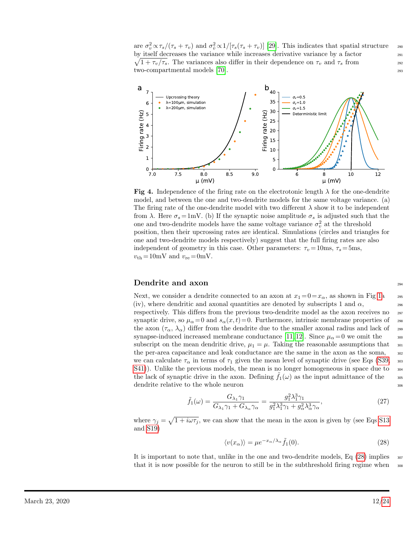are  $\sigma_v^2 \propto \tau_s/(\tau_s + \tau_v)$  and  $\sigma_v^2 \propto 1/[\tau_s(\tau_s + \tau_v)]$  [\[29\]](#page-19-7). This indicates that spatial structure 290 by itself decreases the variance while increases derivative variance by a factor by itself decreases the variance while increases derivative variance by a factor  $\sqrt{1+\tau_v/\tau_s}$ . The variances also differ in their dependence on  $\tau_v$  and  $\tau_s$  from 292 two-compartmental models [\[70\]](#page-22-6). 293

<span id="page-11-0"></span>

**Fig 4.** Independence of the firing rate on the electrotonic length  $\lambda$  for the one-dendrite model, and between the one and two-dendrite models for the same voltage variance. (a) The firing rate of the one-dendrite model with two different  $\lambda$  show it to be independent from  $\lambda$ . Here  $\sigma_s = 1$ mV. (b) If the synaptic noise amplitude  $\sigma_s$  is adjusted such that the one and two-dendrite models have the same voltage variance  $\sigma_v^2$  at the threshold position, then their upcrossing rates are identical. Simulations (circles and triangles for one and two-dendrite models respectively) suggest that the full firing rates are also independent of geometry in this case. Other parameters:  $\tau_v = 10$ ms,  $\tau_s = 5$ ms,  $v_{\text{th}} = 10 \text{mV}$  and  $v_{\text{re}} = 0 \text{mV}$ .

### Dendrite and axon 204

Next, we consider a dendrite connected to an axon at  $x_1 = 0 = x_\alpha$ , as shown in Fig [1a](#page-5-0)  $=$  295 (iv), where dendritic and axonal quantities are denoted by subscripts 1 and  $\alpha$ , respectively. This differs from the previous two-dendrite model as the axon receives no  $_{297}$ synaptic drive, so  $\mu_{\alpha}=0$  and  $s_{\alpha}(x,t)=0$ . Furthermore, intrinsic membrane properties of  $\mu_{\alpha}=0$ the axon  $(\tau_{\alpha}, \lambda_{\alpha})$  differ from the dendrite due to the smaller axonal radius and lack of 299 synapse-induced increased membrane conductance [\[11,](#page-18-11) [12\]](#page-18-7). Since  $\mu_{\alpha}=0$  we omit the subscript on the mean dendritic drive,  $\mu_1 = \mu$ . Taking the reasonable assumptions that  $\infty$ the per-area capacitance and leak conductance are the same in the axon as the soma,  $\frac{302}{20}$ we can calculate  $\tau_{\alpha}$  in terms of  $\tau_1$  given the mean level of synaptic drive (see Eqs [\(S39,](#page-0-0)  $\frac{303}{2}$  $S(41)$ ). Unlike the previous models, the mean is no longer homogeneous in space due to  $\frac{304}{204}$ the lack of synaptic drive in the axon. Defining  $f_1(\omega)$  as the input admittance of the  $\omega$ <sub>305</sub> dendrite relative to the whole neuron  $306$ 

$$
\tilde{f}_1(\omega) = \frac{G_{\lambda_1} \gamma_1}{G_{\lambda_1} \gamma_1 + G_{\lambda_\alpha} \gamma_\alpha} = \frac{g_1^2 \lambda_1^3 \gamma_1}{g_1^2 \lambda_1^3 \gamma_1 + g_\alpha^2 \lambda_\alpha^3 \gamma_\alpha},\tag{27}
$$

where  $\gamma_j = \sqrt{1 + i\omega\tau_j}$ , we can show that the mean in the axon is given by (see Eqs [S13](#page-4-1) and [S19\)](#page-7-3)

<span id="page-11-1"></span>
$$
\langle v(x_{\alpha})\rangle = \mu e^{-x_{\alpha}/\lambda_{\alpha}} \tilde{f}_1(0). \tag{28}
$$

It is important to note that, unlike in the one and two-dendrite models,  $Eq(28)$  $Eq(28)$  implies  $\frac{307}{200}$ that it is now possible for the neuron to still be in the subthreshold firing regime when  $\frac{308}{200}$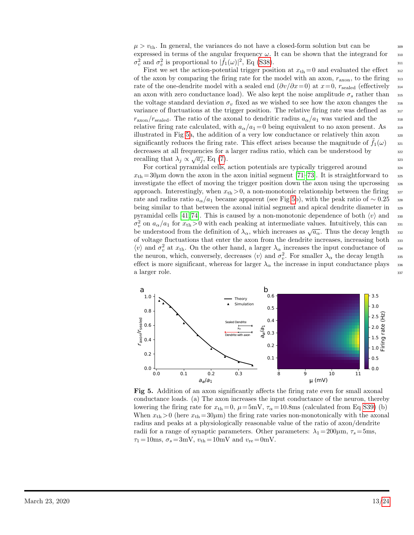$\mu > v_{\text{th}}$ . In general, the variances do not have a closed-form solution but can be expressed in terms of the angular frequency  $\omega$ . It can be shown that the integrand for  $\frac{310}{210}$  $\sigma_v^2$  and  $\sigma_v^2$  is proportional to  $|\tilde{f}_1(\omega)|^2$ , Eq [\(S38\)](#page-0-0).

First we set the action-potential trigger position at  $x_{th} = 0$  and evaluated the effect  $\frac{312}{20}$ of the axon by comparing the firing rate for the model with an axon,  $r_{\rm axon}$ , to the firing  $\frac{1}{313}$ rate of the one-dendrite model with a sealed end  $(\partial v/\partial x=0)$  at  $x=0$ ,  $r_{\rm{sealed}}$  (effectively  $\frac{314}{2}$ an axon with zero conductance load). We also kept the noise amplitude  $\sigma_s$  rather than  $\sigma_s$ the voltage standard deviation  $\sigma_v$  fixed as we wished to see how the axon changes the 316 variance of fluctuations at the trigger position. The relative firing rate was defined as  $\frac{317}{200}$  $r_{\rm axon}/r_{\rm sealed}$ . The ratio of the axonal to dendritic radius  $a_{\alpha}/a_1$  was varied and the  $\qquad$ relative firing rate calculated, with  $a_{\alpha}/a_1 = 0$  being equivalent to no axon present. As illustrated in Fig [5a](#page-12-0), the addition of a very low conductance or relatively thin axon  $\frac{320}{20}$ significantly reduces the firing rate. This effect arises because the magnitude of  $f_1(\omega)$  321 decreases at all frequencies for a larger radius ratio, which can be understood by  $\frac{322}{323}$  recalling that  $\lambda_j \propto \sqrt{a_j}$ , Eq [\(7\)](#page-3-3). recalling that  $\lambda_j \propto \sqrt{a_j}$ , Eq (7).

For cortical pyramidal cells, action potentials are typically triggered around  $\frac{324}{2}$  $x_{\text{th}} = 30 \mu \text{m}$  down the axon in the axon initial segment [\[71–](#page-22-7)[73\]](#page-22-8). It is straightforward to  $325$ investigate the effect of moving the trigger position down the axon using the upcrossing  $\frac{326}{2}$ approach. Interestingly, when  $x_{\text{th}} > 0$ , a non-monotonic relationship between the firing  $327$ rate and radius ratio  $a_{\alpha}/a_1$  became apparent (see Fig [5b](#page-12-0)), with the peak ratio of  $\sim 0.25$  328 being similar to that between the axonal initial segment and apical dendrite diameter in <sup>329</sup> pyramidal cells [\[41,](#page-20-11) [74\]](#page-22-9). This is caused by a non-monotonic dependence of both  $\langle v \rangle$  and 330  $\sigma_v^2$  on  $a_\alpha/a_1$  for  $x_{th} > 0$  with each peaking at intermediate values. Intuitively, this can so be understood from the definition of  $\lambda_{\alpha}$ , which increases as  $\sqrt{a_{\alpha}}$ . Thus the decay length 332 of voltage fluctuations that enter the axon from the dendrite increases, increasing both <sup>333</sup>  $\langle v \rangle$  and  $\sigma_v^2$  at  $x_{\text{th}}$ . On the other hand, a larger  $\lambda_\alpha$  increases the input conductance of 334 the neuron, which, conversely, decreases  $\langle v \rangle$  and  $\sigma_v^2$ . For smaller  $\lambda_\alpha$  the decay length 335 effect is more significant, whereas for larger  $\lambda_{\alpha}$  the increase in input conductance plays  $\frac{336}{2}$ a larger role.  $\frac{337}{2}$ 

<span id="page-12-0"></span>

Fig 5. Addition of an axon significantly affects the firing rate even for small axonal conductance loads. (a) The axon increases the input conductance of the neuron, thereby lowering the firing rate for  $x_{\text{th}} = 0$ ,  $\mu = 5 \text{mV}$ ,  $\tau_{\alpha} = 10.8 \text{ms}$  (calculated from Eq [S39\)](#page-0-0) (b) When  $x_{\text{th}} > 0$  (here  $x_{\text{th}} = 30 \mu \text{m}$ ) the firing rate varies non-monotonically with the axonal radius and peaks at a physiologically reasonable value of the ratio of axon/dendrite radii for a range of synaptic parameters. Other parameters:  $\lambda_1 = 200 \mu \text{m}$ ,  $\tau_s = 5 \text{ms}$ ,  $\tau_1 = 10 \text{ms}, \ \sigma_s = 3 \text{mV}, \ v_{\text{th}} = 10 \text{mV} \text{ and } v_{\text{re}} = 0 \text{mV}.$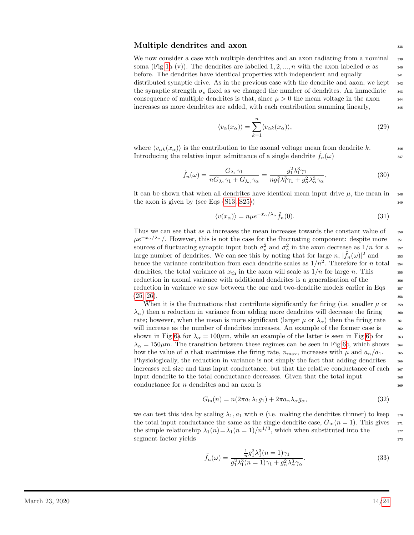#### $\mathbf{Multiple}\ \mathbf{d}$ endrites and  $\mathbf{axon}\ \mathbf{338}$

We now consider a case with multiple dendrites and an axon radiating from a nominal  $\frac{339}{2}$ soma (Fig [1a](#page-5-0) (v)). The dendrites are labelled 1, 2, ..., n with the axon labelled  $\alpha$  as  $\alpha$ before. The dendrites have identical properties with independent and equally  $_{341}$ distributed synaptic drive. As in the previous case with the dendrite and axon, we kept  $_{342}$ the synaptic strength  $\sigma_s$  fixed as we changed the number of dendrites. An immediate  $\sigma_s$ consequence of multiple dendrites is that, since  $\mu > 0$  the mean voltage in the axon increases as more dendrites are added, with each contribution summing linearly, <sup>345</sup>

$$
\langle v_{\alpha}(x_{\alpha})\rangle = \sum_{k=1}^{n} \langle v_{\alpha k}(x_{\alpha})\rangle, \tag{29}
$$

where  $\langle v_{\alpha k}(x_{\alpha})\rangle$  is the contribution to the axonal voltage mean from dendrite k. Introducing the relative input admittance of a single dendrite  $f_n(\omega)$  347

$$
\tilde{f}_n(\omega) = \frac{G_{\lambda_1}\gamma_1}{nG_{\lambda_1}\gamma_1 + G_{\lambda_\alpha}\gamma_\alpha} = \frac{g_1^2\lambda_1^3\gamma_1}{n g_1^2\lambda_1^3\gamma_1 + g_\alpha^2\lambda_\alpha^3\gamma_\alpha},\tag{30}
$$

it can be shown that when all dendrites have identical mean input drive  $\mu$ , the mean in the axon is given by (see Eqs  $(S13, S25)$  $(S13, S25)$ )  $349$ 

$$
\langle v(x_{\alpha})\rangle = n\mu e^{-x_{\alpha}/\lambda_{\alpha}}\tilde{f}_n(0). \tag{31}
$$

Thus we can see that as  $n$  increases the mean increases towards the constant value of  $\qquad$  350  $\mu e^{-x_{\alpha}/\lambda_{\alpha}}$ . However, this is not the case for the fluctuating component: despite more 351 sources of fluctuating synaptic input both  $\sigma_v^2$  and  $\sigma_v^2$  in the axon decrease as  $1/n$  for a ss2 large number of dendrites. We can see this by noting that for large n,  $|\tilde{f}_n(\omega)|^2$  and sss hence the variance contribution from each dendrite scales as  $1/n^2$ . Therefore for n total 354 dendrites, the total variance at  $x_{\text{th}}$  in the axon will scale as  $1/n$  for large n. This reduction in axonal variance with additional dendrites is a generalisation of the  $_{356}$ reduction in variance we saw between the one and two-dendrite models earlier in Eqs  $\frac{357}{357}$  $(25, 26).$  $(25, 26).$  $(25, 26).$  358

When it is the fluctuations that contribute significantly for firing (i.e. smaller  $\mu$  or  $\frac{359}{2}$  $\lambda_{\alpha}$ ) then a reduction in variance from adding more dendrites will decrease the firing  $\sim$  360 rate; however, when the mean is more significant (larger  $\mu$  or  $\lambda_{\alpha}$ ) then the firing rate  $\frac{361}{200}$ will increase as the number of dendrites increases. An example of the former case is  $\frac{362}{100}$ shown in Fig [6a](#page-14-0) for  $\lambda_{\alpha} = 100 \mu$ m, while an example of the latter is seen in Fig [6b](#page-14-0) for  $\frac{363}{200}$  $\lambda_{\alpha} = 150 \mu \text{m}$ . The transition between these regimes can be seen in Fig [6c](#page-14-0), which shows 364 how the value of n that maximises the firing rate,  $n_{\text{max}}$ , increases with  $\mu$  and  $a_{\alpha}/a_1$ . <sup>365</sup> Physiologically, the reduction in variance is not simply the fact that adding dendrites  $\frac{366}{200}$ increases cell size and thus input conductance, but that the relative conductance of each  $\frac{367}{367}$ input dendrite to the total conductance decreases. Given that the total input  $368$  $\text{conductance for } n \text{ dendrites and an axon is } 369$ 

$$
G_{\rm in}(n) = n(2\pi a_1 \lambda_1 g_1) + 2\pi a_\alpha \lambda_\alpha g_\alpha,\tag{32}
$$

we can test this idea by scaling  $\lambda_1, a_1$  with n (i.e. making the dendrites thinner) to keep  $\lambda_3$ the total input conductance the same as the single dendrite case,  $G_{in}(n = 1)$ . This gives  $\frac{371}{2}$ the simple relationship  $\lambda_1(n) = \lambda_1(n = 1)/n^{1/3}$ , which when substituted into the 372 segment factor yields  $\frac{373}{2}$ 

$$
\tilde{f}_n(\omega) = \frac{\frac{1}{n}g_1^2\lambda_1^3(n=1)\gamma_1}{g_1^2\lambda_1^3(n=1)\gamma_1 + g_\alpha^2\lambda_\alpha^3\gamma_\alpha}.\tag{33}
$$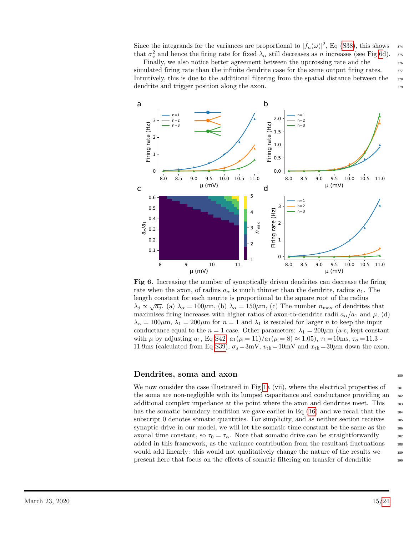Since the integrands for the variances are proportional to  $|\tilde{f}_n(\omega)|^2$ , Eq [\(S38\)](#page-0-0), this shows 374 that  $\sigma_v^2$  and hence the firing rate for fixed  $\lambda_\alpha$  still decreases as n increases (see Fig [6d](#page-14-0)). 375

Finally, we also notice better agreement between the upcrossing rate and the  $\frac{376}{2}$ simulated firing rate than the infinite dendrite case for the same output firing rates.  $\frac{377}{200}$ Intuitively, this is due to the additional filtering from the spatial distance between the  $\frac{378}{20}$ dendrite and trigger position along the axon.  $379$ 

<span id="page-14-0"></span>

Fig 6. Increasing the number of synaptically driven dendrites can decrease the firing rate when the axon, of radius  $a_{\alpha}$  is much thinner than the dendrite, radius  $a_1$ . The length constant for each neurite is proportional to the square root of the radius  $λ_j \propto \sqrt{a_j}$ . (a)  $λ_α = 100μm$ , (b)  $λ_α = 150μm$ , (c) The number  $n_{\text{max}}$  of dendrites that maximises firing increases with higher ratios of axon-to-dendrite radii  $a_{\alpha}/a_1$  and  $\mu$ , (d)  $\lambda_{\alpha} = 100 \mu \text{m}, \lambda_{1} = 200 \mu \text{m}$  for  $n = 1$  and  $\lambda_{1}$  is rescaled for larger n to keep the input conductance equal to the  $n = 1$  case. Other parameters:  $\lambda_1 = 200 \mu m$  (a-c, kept constant with  $\mu$  by adjusting  $a_1$ , Eq [S42,](#page-0-0)  $a_1(\mu = 11)/a_1(\mu = 8) \approx 1.05$ ,  $\tau_1 = 10$ ms,  $\tau_\alpha = 11.3$ . 11.9ms (calculated from Eq [S39\)](#page-0-0),  $\sigma_s = 3mV$ ,  $v_{th} = 10mV$  and  $x_{th} = 30 \mu m$  down the axon.

### Dendrites, soma and axon <sup>380</sup>

We now consider the case illustrated in Fig [1a](#page-5-0) (vii), where the electrical properties of  $\frac{381}{100}$ the soma are non-negligible with its lumped capacitance and conductance providing an  $\frac{382}{100}$ additional complex impedance at the point where the axon and dendrites meet. This  $\frac{383}{383}$ has the somatic boundary condition we gave earlier in Eq  $(16)$  and we recall that the  $\frac{384}{100}$ subscript 0 denotes somatic quantities. For simplicity, and as neither section receives 385 synaptic drive in our model, we will let the somatic time constant be the same as the  $\frac{386}{100}$ axonal time constant, so  $\tau_0 = \tau_\alpha$ . Note that somatic drive can be straightforwardly  $\frac{387}{2}$ added in this framework, as the variance contribution from the resultant fluctuations  $\frac{388}{388}$ would add linearly: this would not qualitatively change the nature of the results we  $\frac{389}{2}$ present here that focus on the effects of somatic filtering on transfer of dendritic <sup>390</sup>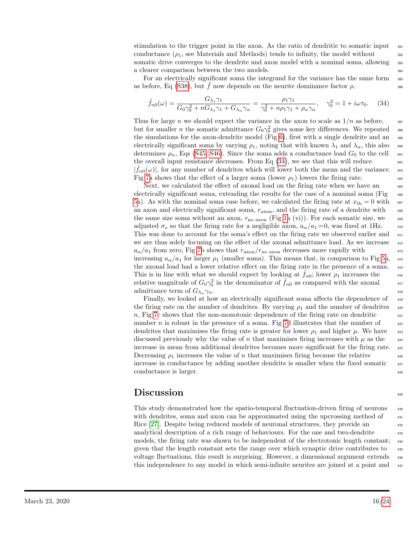stimulation to the trigger point in the axon. As the ratio of dendritic to somatic input  $\frac{391}{991}$ conductance  $(\rho_1, \text{ see Materials and Methods})$  tends to infinity, the model without  $\frac{392}{2}$ somatic drive converges to the dendrite and axon model with a nominal soma, allowing 393 a clearer comparison between the two models.  $\frac{394}{20}$ 

For an electrically significant soma the integrand for the variance has the same form  $\frac{395}{2}$ as before, Eq [\(S38\)](#page-0-0), but f now depends on the neurite dominance factor  $\rho$ ,

<span id="page-15-0"></span>
$$
\tilde{f}_{n0}(\omega) = \frac{G_{\lambda_1}\gamma_1}{G_0\gamma_0^2 + nG_{\lambda_1}\gamma_1 + G_{\lambda_\alpha}\gamma_\alpha} = \frac{\rho_1\gamma_1}{\gamma_0^2 + n\rho_1\gamma_1 + \rho_\alpha\gamma_\alpha}, \quad \gamma_0^2 = 1 + i\omega\tau_0. \tag{34}
$$

Thus for large n we should expect the variance in the axon to scale as  $1/n$  as before,  $\frac{397}{200}$ but for smaller *n* the somatic admittance  $G_0 \gamma_0^2$  gives some key differences. We repeated <sup>398</sup> the simulations for the axon-dendrite model (Fig  $6$ ), first with a single dendrite and an  $\frac{399}{2}$ electrically significant soma by varying  $\rho_1$ , noting that with known  $\lambda_1$  and  $\lambda_\alpha$ , this also  $\mu$ determines  $\rho_{\alpha}$ , Eqs [\(S45, S46\)](#page-0-0). Since the soma adds a conductance load  $G_0$  to the cell  $\Box$ the overall input resistance decreases. From Eq  $(34)$ , we see that this will reduce  $402$  $|\tilde{f}_{n0}(\omega)|$ , for any number of dendrites which will lower both the mean and the variance.  $\frac{403}{2}$ Fig [7a](#page-16-0) shows that the effect of a larger soma (lower  $\rho_1$ ) lowers the firing rate.

Next, we calculated the effect of axonal load on the firing rate when we have an  $405$ electrically significant soma, extending the results for the case of a nominal soma (Fig  $_{406}$ [5a](#page-12-0)). As with the nominal soma case before, we calculated the firing rate at  $x_{th} = 0$  with  $407$ an axon and electrically significant soma,  $r_{\rm axon}$ , and the firing rate of a dendrite with  $408$ the same size soma without an axon,  $r_{\text{no axon}}$  (Fig [1a](#page-5-0) (vi)). For each somatic size, we  $\sim$ adjusted  $\sigma_s$  so that the firing rate for a negligible axon,  $a_\alpha/a_1 = 0$ , was fixed at 1Hz.  $\alpha_1$ This was done to account for the soma's effect on the firing rate we observed earlier and <sup>411</sup> we are thus solely focusing on the effect of the axonal admittance load. As we increase  $\frac{412}{412}$  $a_{\alpha}/a_1$  from zero, Fig [7b](#page-16-0) shows that  $r_{\rm axon}/r_{\rm no\ axon}$  decreases more rapidly with  $413$ increasing  $a_{\alpha}/a_1$  for larger  $\rho_1$  (smaller soma). This means that, in comparison to Fig [5a](#page-12-0),  $a_{14}$ the axonal load had a lower relative effect on the firing rate in the presence of a soma. <sup>415</sup> This is in line with what we should expect by looking at  $\tilde{f}_{n0}$ ; lower  $\rho_1$  increases the 416 relative magnitude of  $G_0 \gamma_0^2$  in the denominator of  $\tilde{f}_{n0}$  as compared with the axonal 417 admittance term of  $G_{\lambda_{\alpha}} \gamma_{\alpha}$ .

Finally, we looked at how an electrically significant soma affects the dependence of  $\frac{419}{419}$ the firing rate on the number of dendrites. By varying  $\rho_1$  and the number of dendrites  $\frac{420}{400}$ n, Fig [7c](#page-16-0) shows that the non-monotonic dependence of the firing rate on dendritic  $\frac{421}{421}$ number *n* is robust in the presence of a soma. Fig [7d](#page-16-0) illustrates that the number of  $\frac{422}{422}$ dendrites that maximises the firing rate is greater for lower  $\rho_1$  and higher  $\mu$ . We have  $\mu_2$ discussed previously why the value of n that maximises firing increases with  $\mu$  as the  $\mu$ increase in mean from additional dendrites becomes more significant for the firing rate. <sup>425</sup> Decreasing  $\rho_1$  increases the value of n that maximises firing because the relative  $426$ increase in conductance by adding another dendrite is smaller when the fixed somatic  $427$ conductance is larger.

### Discussion  $\frac{429}{429}$

This study demonstrated how the spatio-temporal fluctuation-driven firing of neurons <sup>430</sup> with dendrites, soma and axon can be approximated using the upcrossing method of  $\frac{431}{431}$ Rice [\[27\]](#page-19-5). Despite being reduced models of neuronal structures, they provide an  $\frac{432}{432}$ analytical description of a rich range of behaviours. For the one and two-dendrite  $\frac{433}{433}$ models, the firing rate was shown to be independent of the electrotonic length constant; <sup>434</sup> given that the length constant sets the range over which synaptic drive contributes to  $\frac{435}{435}$ voltage fluctuations, this result is surprising. However, a dimensional argument extends <sup>436</sup> this independence to any model in which semi-infinite neurites are joined at a point and  $\frac{437}{437}$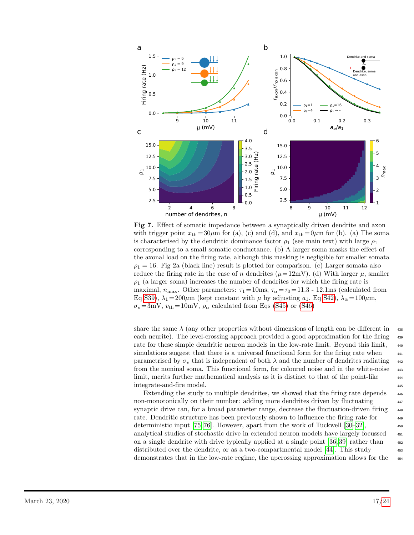<span id="page-16-0"></span>

Fig 7. Effect of somatic impedance between a synaptically driven dendrite and axon with trigger point  $x_{th} = 30\mu m$  for (a), (c) and (d), and  $x_{th} = 0\mu m$  for (b). (a) The soma is characterised by the dendritic dominance factor  $\rho_1$  (see main text) with large  $\rho_1$ corresponding to a small somatic conductance. (b) A larger soma masks the effect of the axonal load on the firing rate, although this masking is negligible for smaller somata  $\rho_1 = 16$ . Fig 2a (black line) result is plotted for comparison. (c) Larger somata also reduce the firing rate in the case of n dendrites ( $\mu = 12mV$ ). (d) With larger  $\mu$ , smaller  $\rho_1$  (a larger soma) increases the number of dendrites for which the firing rate is maximal,  $n_{\text{max}}$ . Other parameters:  $\tau_1 = 10 \text{ms}$ ,  $\tau_\alpha = \tau_0 = 11.3$  - 12.1ms (calculated from Eq [S39\)](#page-0-0),  $\lambda_1 = 200 \mu m$  (kept constant with  $\mu$  by adjusting  $a_1$ , Eq [S42\)](#page-0-0),  $\lambda_\alpha = 100 \mu m$ ,  $\sigma_s = 3 \text{mV}$ ,  $v_{\text{th}} = 10 \text{mV}$ ,  $\rho_\alpha$  calculated from Eqs [\(S45\)](#page-0-0) or [\(S46\)](#page-0-0)

share the same  $\lambda$  (any other properties without dimensions of length can be different in  $\lambda$ each neurite). The level-crossing approach provided a good approximation for the firing <sup>439</sup> rate for these simple dendritic neuron models in the low-rate limit. Beyond this limit, <sup>440</sup> simulations suggest that there is a universal functional form for the firing rate when  $441$ parametrised by  $\sigma_v$  that is independent of both  $\lambda$  and the number of dendrites radiating  $\mu_{42}$ from the nominal soma. This functional form, for coloured noise and in the white-noise <sup>443</sup> limit, merits further mathematical analysis as it is distinct to that of the point-like <sup>444</sup> integrate-and-fire model.

Extending the study to multiple dendrites, we showed that the firing rate depends  $446$ non-monotonically on their number: adding more dendrites driven by fluctuating  $\frac{447}{400}$ synaptic drive can, for a broad parameter range, decrease the fluctuation-driven firing  $\frac{448}{4}$ rate. Dendritic structure has been previously shown to influence the firing rate for <sup>449</sup> deterministic input [\[75,](#page-22-10) [76\]](#page-22-11). However, apart from the work of Tuckwell  $[30-32]$  $[30-32]$ , analytical studies of stochastic drive in extended neuron models have largely focussed <sup>451</sup> on a single dendrite with drive typically applied at a single point [\[36,](#page-20-12) [39\]](#page-20-13) rather than  $452$ distributed over the dendrite, or as a two-compartmental model  $[44]$ . This study demonstrates that in the low-rate regime, the upcrossing approximation allows for the <sup>454</sup>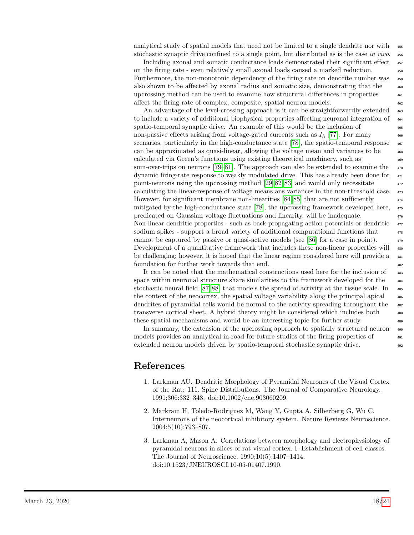analytical study of spatial models that need not be limited to a single dendrite nor with  $455$ stochastic synaptic drive confined to a single point, but distributed as is the case in vivo.  $\frac{456}{456}$ 

Including axonal and somatic conductance loads demonstrated their significant effect  $\frac{457}{457}$ on the firing rate - even relatively small axonal loads caused a marked reduction. <sup>458</sup> Furthermore, the non-monotonic dependency of the firing rate on dendrite number was also shown to be affected by axonal radius and somatic size, demonstrating that the <sup>460</sup> upcrossing method can be used to examine how structural differences in properties <sup>461</sup> affect the firing rate of complex, composite, spatial neuron models. <sup>462</sup>

An advantage of the level-crossing approach is it can be straightforwardly extended  $_{463}$ to include a variety of additional biophysical properties affecting neuronal integration of  $\frac{464}{464}$ spatio-temporal synaptic drive. An example of this would be the inclusion of  $\frac{465}{465}$ non-passive effects arising from voltage-gated currents such as  $I<sub>h</sub>$  [\[77\]](#page-22-12). For many scenarios, particularly in the high-conductance state [\[78\]](#page-22-13), the spatio-temporal response  $\frac{467}{467}$ can be approximated as quasi-linear, allowing the voltage mean and variances to be <sup>468</sup> calculated via Green's functions using existing theoretical machinery, such as <sup>469</sup> sum-over-trips on neurons  $[79-81]$  $[79-81]$ . The approach can also be extended to examine the  $470$ dynamic firing-rate response to weakly modulated drive. This has already been done for <sup>471</sup> point-neurons using the upcrossing method  $[29, 82, 83]$  $[29, 82, 83]$  $[29, 82, 83]$  and would only necessitate  $472$ calculating the linear-response of voltage means ans variances in the non-threshold case. <sup>473</sup> However, for significant membrane non-linearities  $[84, 85]$  $[84, 85]$  that are not sufficiently mitigated by the high-conductance state [\[78\]](#page-22-13), the upcrossing framework developed here, <sup>475</sup> predicated on Gaussian voltage fluctuations and linearity, will be inadequate. <sup>476</sup> Non-linear dendritic properties - such as back-propagating action potentials or dendritic <sup>477</sup> sodium spikes - support a broad variety of additional computational functions that  $\frac{478}{478}$ cannot be captured by passive or quasi-active models (see [\[86\]](#page-23-6) for a case in point).  $479$ Development of a quantitative framework that includes these non-linear properties will  $_{480}$ be challenging; however, it is hoped that the linear regime considered here will provide a  $_{481}$ foundation for further work towards that end.  $482$ 

It can be noted that the mathematical constructions used here for the inclusion of  $\frac{483}{100}$ space within neuronal structure share similarities to the framework developed for the  $_{484}$ stochastic neural field  $[87, 88]$  $[87, 88]$  that models the spread of activity at the tissue scale. In  $\frac{485}{485}$ the context of the neocortex, the spatial voltage variability along the principal apical  $486$ dendrites of pyramidal cells would be normal to the activity spreading throughout the  $\frac{487}{487}$ transverse cortical sheet. A hybrid theory might be considered which includes both <sup>488</sup> these spatial mechanisms and would be an interesting topic for further study.

In summary, the extension of the upcrossing approach to spatially structured neuron  $\frac{490}{4}$ models provides an analytical in-road for future studies of the firing properties of  $\frac{491}{491}$ extended neuron models driven by spatio-temporal stochastic synaptic drive.  $492$ 

## References

- <span id="page-17-0"></span>1. Larkman AU. Dendritic Morphology of Pyramidal Neurones of the Visual Cortex of the Rat: 111. Spine Distributions. The Journal of Comparative Neurology. 1991;306:332–343. doi:10.1002/cne.903060209.
- <span id="page-17-1"></span>2. Markram H, Toledo-Rodriguez M, Wang Y, Gupta A, Silberberg G, Wu C. Interneurons of the neocortical inhibitory system. Nature Reviews Neuroscience. 2004;5(10):793–807.
- <span id="page-17-2"></span>3. Larkman A, Mason A. Correlations between morphology and electrophysiology of pyramidal neurons in slices of rat visual cortex. I. Establishment of cell classes. The Journal of Neuroscience. 1990;10(5):1407–1414. doi:10.1523/JNEUROSCI.10-05-01407.1990.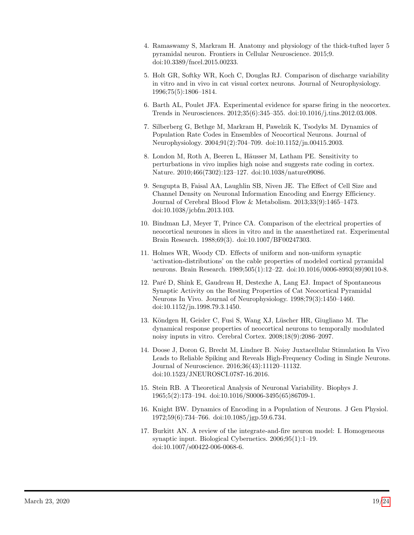- <span id="page-18-0"></span>4. Ramaswamy S, Markram H. Anatomy and physiology of the thick-tufted layer 5 pyramidal neuron. Frontiers in Cellular Neuroscience. 2015;9. doi:10.3389/fncel.2015.00233.
- <span id="page-18-1"></span>5. Holt GR, Softky WR, Koch C, Douglas RJ. Comparison of discharge variability in vitro and in vivo in cat visual cortex neurons. Journal of Neurophysiology. 1996;75(5):1806–1814.
- <span id="page-18-2"></span>6. Barth AL, Poulet JFA. Experimental evidence for sparse firing in the neocortex. Trends in Neurosciences. 2012;35(6):345–355. doi:10.1016/j.tins.2012.03.008.
- <span id="page-18-3"></span>7. Silberberg G, Bethge M, Markram H, Pawelzik K, Tsodyks M. Dynamics of Population Rate Codes in Ensembles of Neocortical Neurons. Journal of Neurophysiology. 2004;91(2):704–709. doi:10.1152/jn.00415.2003.
- <span id="page-18-4"></span>8. London M, Roth A, Beeren L, Häusser M, Latham PE. Sensitivity to perturbations in vivo implies high noise and suggests rate coding in cortex. Nature. 2010;466(7302):123–127. doi:10.1038/nature09086.
- <span id="page-18-5"></span>9. Sengupta B, Faisal AA, Laughlin SB, Niven JE. The Effect of Cell Size and Channel Density on Neuronal Information Encoding and Energy Efficiency. Journal of Cerebral Blood Flow & Metabolism. 2013;33(9):1465–1473. doi:10.1038/jcbfm.2013.103.
- <span id="page-18-6"></span>10. Bindman LJ, Meyer T, Prince CA. Comparison of the electrical properties of neocortical neurones in slices in vitro and in the anaesthetized rat. Experimental Brain Research. 1988;69(3). doi:10.1007/BF00247303.
- <span id="page-18-11"></span>11. Holmes WR, Woody CD. Effects of uniform and non-uniform synaptic 'activation-distributions' on the cable properties of modeled cortical pyramidal neurons. Brain Research. 1989;505(1):12–22. doi:10.1016/0006-8993(89)90110-8.
- <span id="page-18-7"></span>12. Par´e D, Shink E, Gaudreau H, Destexhe A, Lang EJ. Impact of Spontaneous Synaptic Activity on the Resting Properties of Cat Neocortical Pyramidal Neurons In Vivo. Journal of Neurophysiology. 1998;79(3):1450–1460. doi:10.1152/jn.1998.79.3.1450.
- <span id="page-18-8"></span>13. Köndgen H, Geisler C, Fusi S, Wang XJ, Lüscher HR, Giugliano M. The dynamical response properties of neocortical neurons to temporally modulated noisy inputs in vitro. Cerebral Cortex. 2008;18(9):2086–2097.
- <span id="page-18-9"></span>14. Doose J, Doron G, Brecht M, Lindner B. Noisy Juxtacellular Stimulation In Vivo Leads to Reliable Spiking and Reveals High-Frequency Coding in Single Neurons. Journal of Neuroscience. 2016;36(43):11120–11132. doi:10.1523/JNEUROSCI.0787-16.2016.
- <span id="page-18-10"></span>15. Stein RB. A Theoretical Analysis of Neuronal Variability. Biophys J. 1965;5(2):173–194. doi:10.1016/S0006-3495(65)86709-1.
- 16. Knight BW. Dynamics of Encoding in a Population of Neurons. J Gen Physiol. 1972;59(6):734–766. doi:10.1085/jgp.59.6.734.
- 17. Burkitt AN. A review of the integrate-and-fire neuron model: I. Homogeneous synaptic input. Biological Cybernetics. 2006;95(1):1–19. doi:10.1007/s00422-006-0068-6.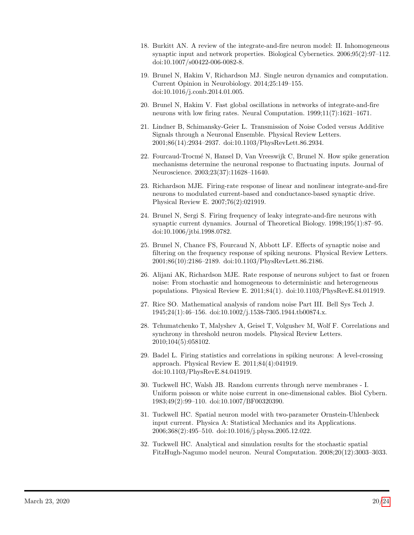- 18. Burkitt AN. A review of the integrate-and-fire neuron model: II. Inhomogeneous synaptic input and network properties. Biological Cybernetics. 2006;95(2):97–112. doi:10.1007/s00422-006-0082-8.
- <span id="page-19-0"></span>19. Brunel N, Hakim V, Richardson MJ. Single neuron dynamics and computation. Current Opinion in Neurobiology. 2014;25:149–155. doi:10.1016/j.conb.2014.01.005.
- <span id="page-19-1"></span>20. Brunel N, Hakim V. Fast global oscillations in networks of integrate-and-fire neurons with low firing rates. Neural Computation. 1999;11(7):1621–1671.
- 21. Lindner B, Schimansky-Geier L. Transmission of Noise Coded versus Additive Signals through a Neuronal Ensemble. Physical Review Letters. 2001;86(14):2934–2937. doi:10.1103/PhysRevLett.86.2934.
- 22. Fourcaud-Trocm´e N, Hansel D, Van Vreeswijk C, Brunel N. How spike generation mechanisms determine the neuronal response to fluctuating inputs. Journal of Neuroscience. 2003;23(37):11628–11640.
- <span id="page-19-2"></span>23. Richardson MJE. Firing-rate response of linear and nonlinear integrate-and-fire neurons to modulated current-based and conductance-based synaptic drive. Physical Review E. 2007;76(2):021919.
- <span id="page-19-3"></span>24. Brunel N, Sergi S. Firing frequency of leaky integrate-and-fire neurons with synaptic current dynamics. Journal of Theoretical Biology. 1998;195(1):87–95. doi:10.1006/jtbi.1998.0782.
- 25. Brunel N, Chance FS, Fourcaud N, Abbott LF. Effects of synaptic noise and filtering on the frequency response of spiking neurons. Physical Review Letters. 2001;86(10):2186–2189. doi:10.1103/PhysRevLett.86.2186.
- <span id="page-19-4"></span>26. Alijani AK, Richardson MJE. Rate response of neurons subject to fast or frozen noise: From stochastic and homogeneous to deterministic and heterogeneous populations. Physical Review E. 2011;84(1). doi:10.1103/PhysRevE.84.011919.
- <span id="page-19-5"></span>27. Rice SO. Mathematical analysis of random noise Part III. Bell Sys Tech J. 1945;24(1):46–156. doi:10.1002/j.1538-7305.1944.tb00874.x.
- <span id="page-19-6"></span>28. Tchumatchenko T, Malyshev A, Geisel T, Volgushev M, Wolf F. Correlations and synchrony in threshold neuron models. Physical Review Letters. 2010;104(5):058102.
- <span id="page-19-7"></span>29. Badel L. Firing statistics and correlations in spiking neurons: A level-crossing approach. Physical Review E. 2011;84(4):041919. doi:10.1103/PhysRevE.84.041919.
- <span id="page-19-8"></span>30. Tuckwell HC, Walsh JB. Random currents through nerve membranes - I. Uniform poisson or white noise current in one-dimensional cables. Biol Cybern. 1983;49(2):99–110. doi:10.1007/BF00320390.
- 31. Tuckwell HC. Spatial neuron model with two-parameter Ornstein-Uhlenbeck input current. Physica A: Statistical Mechanics and its Applications. 2006;368(2):495–510. doi:10.1016/j.physa.2005.12.022.
- <span id="page-19-9"></span>32. Tuckwell HC. Analytical and simulation results for the stochastic spatial FitzHugh-Nagumo model neuron. Neural Computation. 2008;20(12):3003–3033.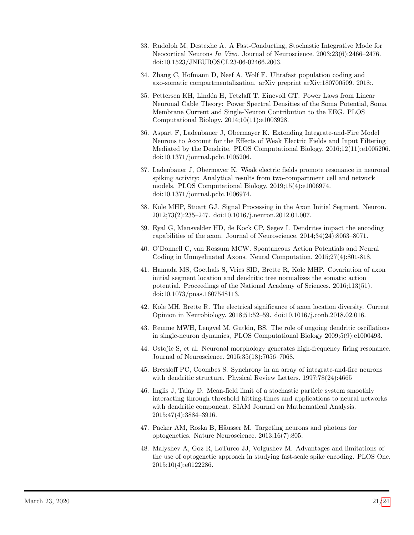- <span id="page-20-0"></span>33. Rudolph M, Destexhe A. A Fast-Conducting, Stochastic Integrative Mode for Neocortical Neurons In Vivo. Journal of Neuroscience. 2003;23(6):2466–2476. doi:10.1523/JNEUROSCI.23-06-02466.2003.
- <span id="page-20-1"></span>34. Zhang C, Hofmann D, Neef A, Wolf F. Ultrafast population coding and axo-somatic compartmentalization. arXiv preprint arXiv:180700509. 2018;.
- <span id="page-20-2"></span>35. Pettersen KH, Lindén H, Tetzlaff T, Einevoll GT. Power Laws from Linear Neuronal Cable Theory: Power Spectral Densities of the Soma Potential, Soma Membrane Current and Single-Neuron Contribution to the EEG. PLOS Computational Biology. 2014;10(11):e1003928.
- <span id="page-20-12"></span>36. Aspart F, Ladenbauer J, Obermayer K. Extending Integrate-and-Fire Model Neurons to Account for the Effects of Weak Electric Fields and Input Filtering Mediated by the Dendrite. PLOS Computational Biology. 2016;12(11):e1005206. doi:10.1371/journal.pcbi.1005206.
- <span id="page-20-3"></span>37. Ladenbauer J, Obermayer K. Weak electric fields promote resonance in neuronal spiking activity: Analytical results from two-compartment cell and network models. PLOS Computational Biology. 2019;15(4):e1006974. doi:10.1371/journal.pcbi.1006974.
- <span id="page-20-4"></span>38. Kole MHP, Stuart GJ. Signal Processing in the Axon Initial Segment. Neuron. 2012;73(2):235–247. doi:10.1016/j.neuron.2012.01.007.
- <span id="page-20-13"></span>39. Eyal G, Mansvelder HD, de Kock CP, Segev I. Dendrites impact the encoding capabilities of the axon. Journal of Neuroscience. 2014;34(24):8063–8071.
- 40. O'Donnell C, van Rossum MCW. Spontaneous Action Potentials and Neural Coding in Unmyelinated Axons. Neural Computation. 2015;27(4):801-818.
- <span id="page-20-11"></span>41. Hamada MS, Goethals S, Vries SID, Brette R, Kole MHP. Covariation of axon initial segment location and dendritic tree normalizes the somatic action potential. Proceedings of the National Academy of Sciences. 2016;113(51). doi:10.1073/pnas.1607548113.
- <span id="page-20-5"></span>42. Kole MH, Brette R. The electrical significance of axon location diversity. Current Opinion in Neurobiology. 2018;51:52–59. doi:10.1016/j.conb.2018.02.016.
- <span id="page-20-6"></span>43. Remme MWH, Lengyel M, Gutkin, BS. The role of ongoing dendritic oscillations in single-neuron dynamics, PLOS Computational Biology 2009;5(9):e1000493.
- <span id="page-20-7"></span>44. Ostojic S, et al. Neuronal morphology generates high-frequency firing resonance. Journal of Neuroscience. 2015;35(18):7056–7068.
- <span id="page-20-8"></span>45. Bressloff PC, Coombes S. Synchrony in an array of integrate-and-fire neurons with dendritic structure. Physical Review Letters. 1997;78(24):4665
- <span id="page-20-9"></span>46. Inglis J, Talay D. Mean-field limit of a stochastic particle system smoothly interacting through threshold hitting-times and applications to neural networks with dendritic component. SIAM Journal on Mathematical Analysis. 2015;47(4):3884–3916.
- <span id="page-20-10"></span>47. Packer AM, Roska B, Häusser M. Targeting neurons and photons for optogenetics. Nature Neuroscience. 2013;16(7):805.
- 48. Malyshev A, Goz R, LoTurco JJ, Volgushev M. Advantages and limitations of the use of optogenetic approach in studying fast-scale spike encoding. PLOS One. 2015;10(4):e0122286.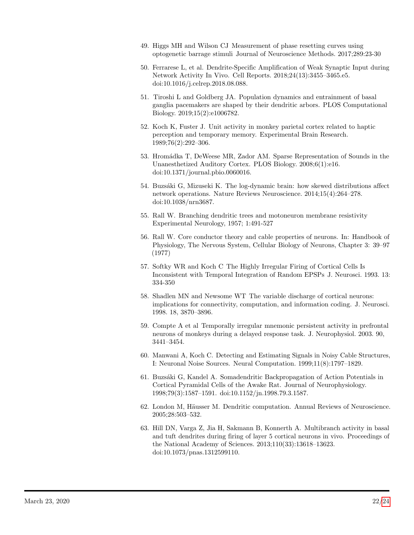- 49. Higgs MH and Wilson CJ Measurement of phase resetting curves using optogenetic barrage stimuli Journal of Neuroscience Methods. 2017;289:23-30
- 50. Ferrarese L, et al. Dendrite-Specific Amplification of Weak Synaptic Input during Network Activity In Vivo. Cell Reports. 2018;24(13):3455–3465.e5. doi:10.1016/j.celrep.2018.08.088.
- <span id="page-21-0"></span>51. Tiroshi L and Goldberg JA. Population dynamics and entrainment of basal ganglia pacemakers are shaped by their dendritic arbors. PLOS Computational Biology. 2019;15(2):e1006782.
- <span id="page-21-1"></span>52. Koch K, Fuster J. Unit activity in monkey parietal cortex related to haptic perception and temporary memory. Experimental Brain Research. 1989;76(2):292–306.
- 53. Hromádka T, DeWeese MR, Zador AM. Sparse Representation of Sounds in the Unanesthetized Auditory Cortex. PLOS Biology. 2008;6(1):e16. doi:10.1371/journal.pbio.0060016.
- <span id="page-21-2"></span>54. Buzsáki G, Mizuseki K. The log-dynamic brain: how skewed distributions affect network operations. Nature Reviews Neuroscience. 2014;15(4):264–278. doi:10.1038/nrn3687.
- <span id="page-21-3"></span>55. Rall W. Branching dendritic trees and motoneuron membrane resistivity Experimental Neurology, 1957; 1:491-527
- <span id="page-21-4"></span>56. Rall W. Core conductor theory and cable properties of neurons. In: Handbook of Physiology, The Nervous System, Cellular Biology of Neurons, Chapter 3: 39–97 (1977)
- <span id="page-21-5"></span>57. Softky WR and Koch C The Highly Irregular Firing of Cortical Cells Is Inconsistent with Temporal Integration of Random EPSPs J. Neurosci. 1993. 13: 334-350
- 58. Shadlen MN and Newsome WT The variable discharge of cortical neurons: implications for connectivity, computation, and information coding. J. Neurosci. 1998. 18, 3870–3896.
- <span id="page-21-6"></span>59. Compte A et al Temporally irregular mnemonic persistent activity in prefrontal neurons of monkeys during a delayed response task. J. Neurophysiol. 2003. 90, 3441–3454.
- <span id="page-21-7"></span>60. Manwani A, Koch C. Detecting and Estimating Signals in Noisy Cable Structures, I: Neuronal Noise Sources. Neural Computation. 1999;11(8):1797–1829.
- <span id="page-21-8"></span>61. Buzs´aki G, Kandel A. Somadendritic Backpropagation of Action Potentials in Cortical Pyramidal Cells of the Awake Rat. Journal of Neurophysiology. 1998;79(3):1587–1591. doi:10.1152/jn.1998.79.3.1587.
- 62. London M, Häusser M. Dendritic computation. Annual Reviews of Neuroscience. 2005;28:503–532.
- <span id="page-21-9"></span>63. Hill DN, Varga Z, Jia H, Sakmann B, Konnerth A. Multibranch activity in basal and tuft dendrites during firing of layer 5 cortical neurons in vivo. Proceedings of the National Academy of Sciences. 2013;110(33):13618–13623. doi:10.1073/pnas.1312599110.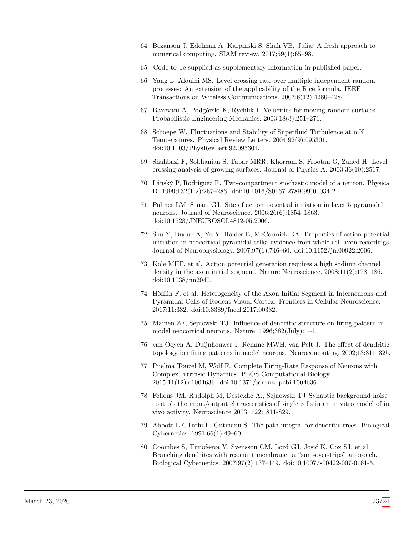- <span id="page-22-0"></span>64. Bezanson J, Edelman A, Karpinski S, Shah VB. Julia: A fresh approach to numerical computing. SIAM review. 2017;59(1):65–98.
- <span id="page-22-1"></span>65. Code to be supplied as supplementary information in published paper.
- <span id="page-22-2"></span>66. Yang L, Alouini MS. Level crossing rate over multiple independent random processes: An extension of the applicability of the Rice formula. IEEE Transactions on Wireless Communications. 2007;6(12):4280–4284.
- <span id="page-22-3"></span>67. Baxevani A, Podg´orski K, Rychlik I. Velocities for moving random surfaces. Probabilistic Engineering Mechanics. 2003;18(3):251–271.
- <span id="page-22-4"></span>68. Schoepe W. Fluctuations and Stability of Superfluid Turbulence at mK Temperatures. Physical Review Letters. 2004;92(9):095301. doi:10.1103/PhysRevLett.92.095301.
- <span id="page-22-5"></span>69. Shahbazi F, Sobhanian S, Tabar MRR, Khorram S, Frootan G, Zahed H. Level crossing analysis of growing surfaces. Journal of Physics A. 2003;36(10):2517.
- <span id="page-22-6"></span>70. L´ansk´y P, Rodriguez R. Two-compartment stochastic model of a neuron. Physica D. 1999;132(1-2):267–286. doi:10.1016/S0167-2789(99)00034-2.
- <span id="page-22-7"></span>71. Palmer LM, Stuart GJ. Site of action potential initiation in layer 5 pyramidal neurons. Journal of Neuroscience. 2006;26(6):1854–1863. doi:10.1523/JNEUROSCI.4812-05.2006.
- 72. Shu Y, Duque A, Yu Y, Haider B, McCormick DA. Properties of action-potential initiation in neocortical pyramidal cells: evidence from whole cell axon recordings. Journal of Neurophysiology. 2007;97(1):746–60. doi:10.1152/jn.00922.2006.
- <span id="page-22-8"></span>73. Kole MHP, et al. Action potential generation requires a high sodium channel density in the axon initial segment. Nature Neuroscience. 2008;11(2):178–186. doi:10.1038/nn2040.
- <span id="page-22-9"></span>74. Höfflin F, et al. Heterogeneity of the Axon Initial Segment in Interneurons and Pyramidal Cells of Rodent Visual Cortex. Frontiers in Cellular Neuroscience. 2017;11:332. doi:10.3389/fncel.2017.00332.
- <span id="page-22-10"></span>75. Mainen ZF, Sejnowski TJ. Influence of dendritic structure on firing pattern in model neocortical neurons. Nature. 1996;382(July):1–4.
- <span id="page-22-11"></span>76. van Ooyen A, Duijnhouwer J, Remme MWH, van Pelt J. The effect of dendritic topology ion firing patterns in model neurons. Neurocomputing. 2002;13:311–325.
- <span id="page-22-12"></span>77. Puelma Touzel M, Wolf F. Complete Firing-Rate Response of Neurons with Complex Intrinsic Dynamics. PLOS Computational Biology. 2015;11(12):e1004636. doi:10.1371/journal.pcbi.1004636.
- <span id="page-22-13"></span>78. Fellous JM, Rudolph M, Destexhe A., Sejnowski TJ Synaptic background noise controls the input/output characteristics of single cells in an in vitro model of in vivo activity. Neuroscience 2003, 122: 811-829.
- <span id="page-22-14"></span>79. Abbott LF, Farhi E, Gutmann S. The path integral for dendritic trees. Biological Cybernetics. 1991;66(1):49–60.
- 80. Coombes S, Timofeeva Y, Svensson CM, Lord GJ, Josić K, Cox SJ, et al. Branching dendrites with resonant membrane: a "sum-over-trips" approach. Biological Cybernetics. 2007;97(2):137–149. doi:10.1007/s00422-007-0161-5.